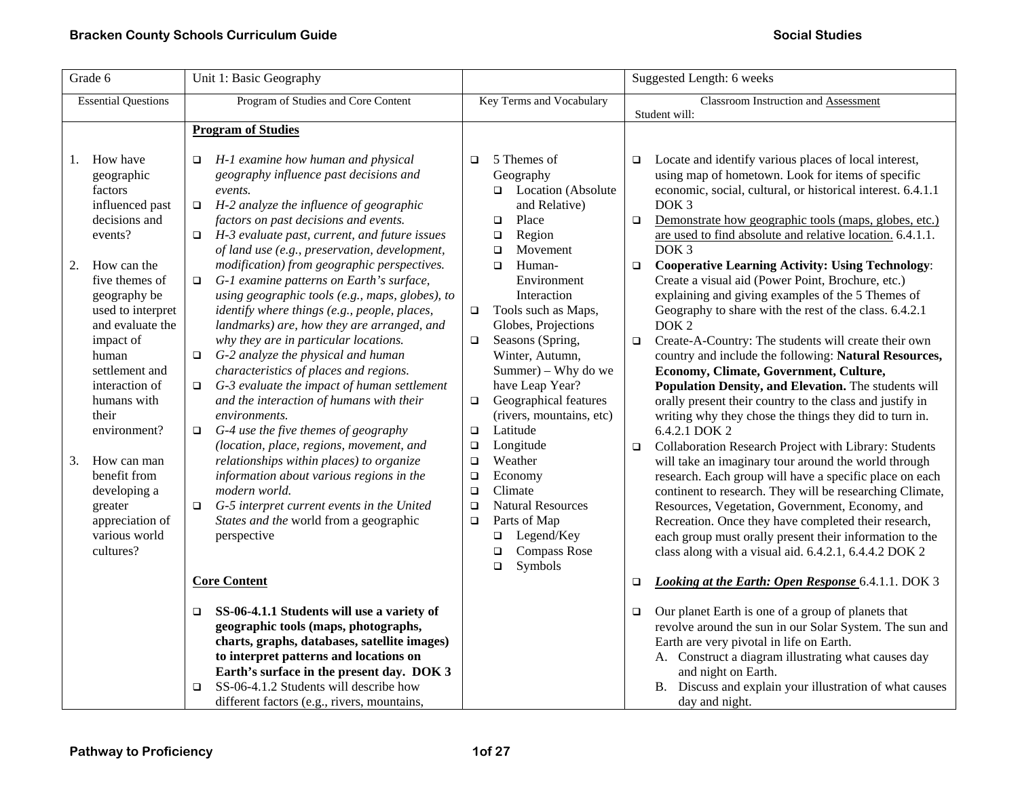| Grade 6                                                                                                                                                                                                      | Unit 1: Basic Geography                                                                                                                                                                                                                                                                                                                                                                                                                                                                                                                                                                                                                                 | Suggested Length: 6 weeks                                                                                                                                                                                                                                                                                                                                       |                                                                                                                                                                                                                                                                                                                                                                                                                                                                                                                                                                                                                                                                                                                                                     |
|--------------------------------------------------------------------------------------------------------------------------------------------------------------------------------------------------------------|---------------------------------------------------------------------------------------------------------------------------------------------------------------------------------------------------------------------------------------------------------------------------------------------------------------------------------------------------------------------------------------------------------------------------------------------------------------------------------------------------------------------------------------------------------------------------------------------------------------------------------------------------------|-----------------------------------------------------------------------------------------------------------------------------------------------------------------------------------------------------------------------------------------------------------------------------------------------------------------------------------------------------------------|-----------------------------------------------------------------------------------------------------------------------------------------------------------------------------------------------------------------------------------------------------------------------------------------------------------------------------------------------------------------------------------------------------------------------------------------------------------------------------------------------------------------------------------------------------------------------------------------------------------------------------------------------------------------------------------------------------------------------------------------------------|
| <b>Essential Questions</b>                                                                                                                                                                                   | Program of Studies and Core Content                                                                                                                                                                                                                                                                                                                                                                                                                                                                                                                                                                                                                     | Key Terms and Vocabulary                                                                                                                                                                                                                                                                                                                                        | <b>Classroom Instruction and Assessment</b><br>Student will:                                                                                                                                                                                                                                                                                                                                                                                                                                                                                                                                                                                                                                                                                        |
|                                                                                                                                                                                                              | <b>Program of Studies</b>                                                                                                                                                                                                                                                                                                                                                                                                                                                                                                                                                                                                                               |                                                                                                                                                                                                                                                                                                                                                                 |                                                                                                                                                                                                                                                                                                                                                                                                                                                                                                                                                                                                                                                                                                                                                     |
| How have<br>1.<br>geographic<br>factors<br>influenced past<br>decisions and<br>events?<br>2.<br>How can the<br>five themes of<br>geography be<br>used to interpret<br>and evaluate the<br>impact of<br>human | H-1 examine how human and physical<br>$\Box$<br>geography influence past decisions and<br>events.<br>$\Box$ H-2 analyze the influence of geographic<br>factors on past decisions and events.<br>H-3 evaluate past, current, and future issues<br>$\Box$<br>of land use (e.g., preservation, development,<br>modification) from geographic perspectives.<br>G-1 examine patterns on Earth's surface,<br>$\Box$<br>using geographic tools (e.g., maps, globes), to<br>identify where things (e.g., people, places,<br>landmarks) are, how they are arranged, and<br>why they are in particular locations.<br>G-2 analyze the physical and human<br>$\Box$ | 5 Themes of<br>$\Box$<br>Geography<br>Location (Absolute<br>$\Box$<br>and Relative)<br>Place<br>$\Box$<br>Region<br>$\Box$<br>Movement<br>$\Box$<br>Human-<br>$\Box$<br>Environment<br>Interaction<br>Tools such as Maps,<br>$\Box$<br>Globes, Projections<br>Seasons (Spring,<br>$\Box$<br>Winter, Autumn,                                                     | Locate and identify various places of local interest,<br>$\Box$<br>using map of hometown. Look for items of specific<br>economic, social, cultural, or historical interest. 6.4.1.1<br>DOK <sub>3</sub><br>Demonstrate how geographic tools (maps, globes, etc.)<br>$\Box$<br>are used to find absolute and relative location. 6.4.1.1.<br>DOK <sub>3</sub><br><b>Cooperative Learning Activity: Using Technology:</b><br>$\Box$<br>Create a visual aid (Power Point, Brochure, etc.)<br>explaining and giving examples of the 5 Themes of<br>Geography to share with the rest of the class. 6.4.2.1<br>DOK <sub>2</sub><br>Create-A-Country: The students will create their own<br>$\Box$<br>country and include the following: Natural Resources, |
| settlement and<br>interaction of<br>humans with<br>their<br>environment?<br>3.<br>How can man<br>benefit from<br>developing a<br>greater<br>appreciation of<br>various world<br>cultures?                    | characteristics of places and regions.<br>G-3 evaluate the impact of human settlement<br>$\Box$<br>and the interaction of humans with their<br>environments.<br>G-4 use the five themes of geography<br>$\Box$<br>(location, place, regions, movement, and<br>relationships within places) to organize<br>information about various regions in the<br>modern world.<br>G-5 interpret current events in the United<br>$\Box$<br>States and the world from a geographic<br>perspective                                                                                                                                                                    | Summer) – Why do we<br>have Leap Year?<br>Geographical features<br>$\Box$<br>(rivers, mountains, etc)<br>Latitude<br>$\Box$<br>Longitude<br>$\Box$<br>Weather<br>$\Box$<br>$\Box$<br>Economy<br>$\Box$<br>Climate<br><b>Natural Resources</b><br>$\Box$<br>Parts of Map<br>$\Box$<br>Legend/Key<br>$\Box$<br><b>Compass Rose</b><br>$\Box$<br>Symbols<br>$\Box$ | Economy, Climate, Government, Culture,<br>Population Density, and Elevation. The students will<br>orally present their country to the class and justify in<br>writing why they chose the things they did to turn in.<br>6.4.2.1 DOK 2<br>Collaboration Research Project with Library: Students<br>$\Box$<br>will take an imaginary tour around the world through<br>research. Each group will have a specific place on each<br>continent to research. They will be researching Climate,<br>Resources, Vegetation, Government, Economy, and<br>Recreation. Once they have completed their research,<br>each group must orally present their information to the<br>class along with a visual aid. 6.4.2.1, 6.4.4.2 DOK 2                              |
|                                                                                                                                                                                                              | <b>Core Content</b>                                                                                                                                                                                                                                                                                                                                                                                                                                                                                                                                                                                                                                     |                                                                                                                                                                                                                                                                                                                                                                 | <b>Looking at the Earth: Open Response 6.4.1.1. DOK 3</b><br>$\Box$                                                                                                                                                                                                                                                                                                                                                                                                                                                                                                                                                                                                                                                                                 |
|                                                                                                                                                                                                              | SS-06-4.1.1 Students will use a variety of<br>$\Box$<br>geographic tools (maps, photographs,<br>charts, graphs, databases, satellite images)<br>to interpret patterns and locations on<br>Earth's surface in the present day. DOK 3<br>SS-06-4.1.2 Students will describe how<br>$\Box$<br>different factors (e.g., rivers, mountains,                                                                                                                                                                                                                                                                                                                  |                                                                                                                                                                                                                                                                                                                                                                 | Our planet Earth is one of a group of planets that<br>$\Box$<br>revolve around the sun in our Solar System. The sun and<br>Earth are very pivotal in life on Earth.<br>A. Construct a diagram illustrating what causes day<br>and night on Earth.<br>B. Discuss and explain your illustration of what causes<br>day and night.                                                                                                                                                                                                                                                                                                                                                                                                                      |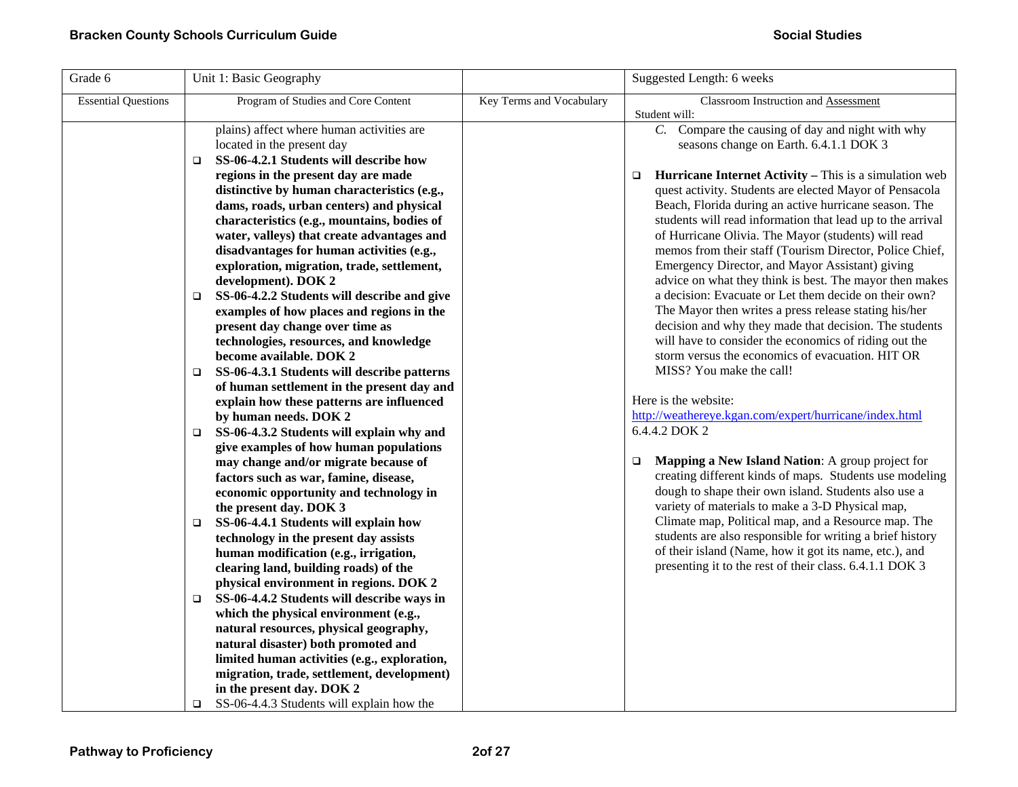| Grade 6                    | Unit 1: Basic Geography                               |                          | Suggested Length: 6 weeks                                               |
|----------------------------|-------------------------------------------------------|--------------------------|-------------------------------------------------------------------------|
| <b>Essential Questions</b> | Program of Studies and Core Content                   | Key Terms and Vocabulary | Classroom Instruction and Assessment                                    |
|                            |                                                       |                          | Student will:                                                           |
|                            | plains) affect where human activities are             |                          | Compare the causing of day and night with why<br>$C_{\cdot}$            |
|                            | located in the present day                            |                          | seasons change on Earth. 6.4.1.1 DOK 3                                  |
|                            | SS-06-4.2.1 Students will describe how<br>$\Box$      |                          |                                                                         |
|                            | regions in the present day are made                   |                          | <b>Hurricane Internet Activity – This is a simulation web</b><br>$\Box$ |
|                            | distinctive by human characteristics (e.g.,           |                          | quest activity. Students are elected Mayor of Pensacola                 |
|                            | dams, roads, urban centers) and physical              |                          | Beach, Florida during an active hurricane season. The                   |
|                            | characteristics (e.g., mountains, bodies of           |                          | students will read information that lead up to the arrival              |
|                            | water, valleys) that create advantages and            |                          | of Hurricane Olivia. The Mayor (students) will read                     |
|                            | disadvantages for human activities (e.g.,             |                          | memos from their staff (Tourism Director, Police Chief,                 |
|                            | exploration, migration, trade, settlement,            |                          | Emergency Director, and Mayor Assistant) giving                         |
|                            | development). DOK 2                                   |                          | advice on what they think is best. The mayor then makes                 |
|                            | SS-06-4.2.2 Students will describe and give<br>$\Box$ |                          | a decision: Evacuate or Let them decide on their own?                   |
|                            | examples of how places and regions in the             |                          | The Mayor then writes a press release stating his/her                   |
|                            | present day change over time as                       |                          | decision and why they made that decision. The students                  |
|                            | technologies, resources, and knowledge                |                          | will have to consider the economics of riding out the                   |
|                            | become available. DOK 2                               |                          | storm versus the economics of evacuation. HIT OR                        |
|                            | SS-06-4.3.1 Students will describe patterns<br>$\Box$ |                          | MISS? You make the call!                                                |
|                            | of human settlement in the present day and            |                          |                                                                         |
|                            | explain how these patterns are influenced             |                          | Here is the website:                                                    |
|                            | by human needs. DOK 2                                 |                          | http://weathereye.kgan.com/expert/hurricane/index.html                  |
|                            | SS-06-4.3.2 Students will explain why and<br>$\Box$   |                          | 6.4.4.2 DOK 2                                                           |
|                            | give examples of how human populations                |                          |                                                                         |
|                            | may change and/or migrate because of                  |                          | Mapping a New Island Nation: A group project for<br>$\Box$              |
|                            | factors such as war, famine, disease,                 |                          | creating different kinds of maps. Students use modeling                 |
|                            | economic opportunity and technology in                |                          | dough to shape their own island. Students also use a                    |
|                            | the present day. DOK 3                                |                          | variety of materials to make a 3-D Physical map,                        |
|                            | SS-06-4.4.1 Students will explain how<br>$\Box$       |                          | Climate map, Political map, and a Resource map. The                     |
|                            | technology in the present day assists                 |                          | students are also responsible for writing a brief history               |
|                            | human modification (e.g., irrigation,                 |                          | of their island (Name, how it got its name, etc.), and                  |
|                            | clearing land, building roads) of the                 |                          | presenting it to the rest of their class. 6.4.1.1 DOK 3                 |
|                            | physical environment in regions. DOK 2                |                          |                                                                         |
|                            | SS-06-4.4.2 Students will describe ways in<br>$\Box$  |                          |                                                                         |
|                            | which the physical environment (e.g.,                 |                          |                                                                         |
|                            | natural resources, physical geography,                |                          |                                                                         |
|                            | natural disaster) both promoted and                   |                          |                                                                         |
|                            | limited human activities (e.g., exploration,          |                          |                                                                         |
|                            | migration, trade, settlement, development)            |                          |                                                                         |
|                            | in the present day. DOK 2                             |                          |                                                                         |
|                            | SS-06-4.4.3 Students will explain how the<br>o        |                          |                                                                         |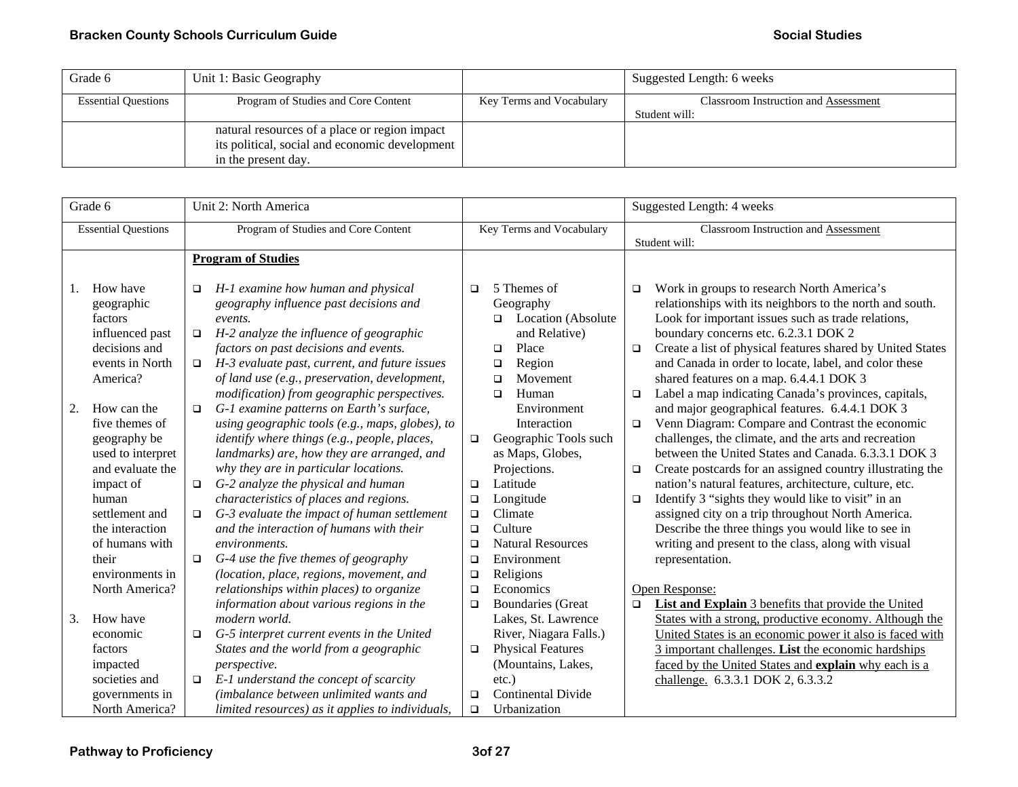| Grade 6                    | Unit 1: Basic Geography                        |                          | Suggested Length: 6 weeks            |
|----------------------------|------------------------------------------------|--------------------------|--------------------------------------|
| <b>Essential Questions</b> | Program of Studies and Core Content            | Key Terms and Vocabulary | Classroom Instruction and Assessment |
|                            |                                                |                          | Student will:                        |
|                            | natural resources of a place or region impact  |                          |                                      |
|                            | its political, social and economic development |                          |                                      |
|                            | in the present day.                            |                          |                                      |

|    | Grade 6                                                                                              | Unit 2: North America                                                                                                                                                                                                                                                                                                         |                                                |                                                                                                                                                                                      |                            | Suggested Length: 4 weeks                                                                                                                                                                                                                                                                                                                                              |
|----|------------------------------------------------------------------------------------------------------|-------------------------------------------------------------------------------------------------------------------------------------------------------------------------------------------------------------------------------------------------------------------------------------------------------------------------------|------------------------------------------------|--------------------------------------------------------------------------------------------------------------------------------------------------------------------------------------|----------------------------|------------------------------------------------------------------------------------------------------------------------------------------------------------------------------------------------------------------------------------------------------------------------------------------------------------------------------------------------------------------------|
|    | <b>Essential Questions</b>                                                                           | Program of Studies and Core Content                                                                                                                                                                                                                                                                                           |                                                | Key Terms and Vocabulary                                                                                                                                                             |                            | Classroom Instruction and Assessment                                                                                                                                                                                                                                                                                                                                   |
|    |                                                                                                      |                                                                                                                                                                                                                                                                                                                               |                                                |                                                                                                                                                                                      |                            | Student will:                                                                                                                                                                                                                                                                                                                                                          |
|    |                                                                                                      | <b>Program of Studies</b>                                                                                                                                                                                                                                                                                                     |                                                |                                                                                                                                                                                      |                            |                                                                                                                                                                                                                                                                                                                                                                        |
| 1. | How have<br>geographic<br>factors<br>influenced past<br>decisions and<br>events in North<br>America? | H-1 examine how human and physical<br>$\Box$<br>geography influence past decisions and<br>events.<br>H-2 analyze the influence of geographic<br>$\Box$<br>factors on past decisions and events.<br>H-3 evaluate past, current, and future issues<br>$\Box$<br>of land use (e.g., preservation, development,                   | $\Box$                                         | 5 Themes of<br>Geography<br><b>Q</b> Location (Absolute<br>and Relative)<br>Place<br>$\Box$<br>Region<br>$\Box$<br>Movement<br>□                                                     | $\Box$<br>$\Box$           | Work in groups to research North America's<br>relationships with its neighbors to the north and south.<br>Look for important issues such as trade relations,<br>boundary concerns etc. 6.2.3.1 DOK 2<br>Create a list of physical features shared by United States<br>and Canada in order to locate, label, and color these<br>shared features on a map. 6.4.4.1 DOK 3 |
| 2. | How can the<br>five themes of<br>geography be<br>used to interpret<br>and evaluate the               | modification) from geographic perspectives.<br>G-1 examine patterns on Earth's surface,<br>$\Box$<br>using geographic tools (e.g., maps, globes), to<br>identify where things (e.g., people, places,<br>landmarks) are, how they are arranged, and<br>why they are in particular locations.                                   | $\Box$                                         | Human<br>$\Box$<br>Environment<br>Interaction<br>Geographic Tools such<br>as Maps, Globes,<br>Projections.                                                                           | $\Box$<br>$\Box$<br>$\Box$ | Label a map indicating Canada's provinces, capitals,<br>and major geographical features. 6.4.4.1 DOK 3<br>Venn Diagram: Compare and Contrast the economic<br>challenges, the climate, and the arts and recreation<br>between the United States and Canada, 6.3.3.1 DOK 3<br>Create postcards for an assigned country illustrating the                                  |
|    | impact of<br>human<br>settlement and                                                                 | G-2 analyze the physical and human<br>$\Box$<br>characteristics of places and regions.<br>G-3 evaluate the impact of human settlement<br>$\Box$                                                                                                                                                                               | $\Box$<br>$\Box$<br>$\Box$                     | Latitude<br>Longitude<br>Climate                                                                                                                                                     | $\Box$                     | nation's natural features, architecture, culture, etc.<br>Identify 3 "sights they would like to visit" in an<br>assigned city on a trip throughout North America.                                                                                                                                                                                                      |
|    | the interaction<br>of humans with<br>their<br>environments in<br>North America?                      | and the interaction of humans with their<br>environments.<br>G-4 use the five themes of geography<br>$\Box$<br>(location, place, regions, movement, and<br>relationships within places) to organize                                                                                                                           | $\Box$<br>$\Box$<br>$\Box$<br>$\Box$<br>$\Box$ | Culture<br><b>Natural Resources</b><br>Environment<br>Religions<br>Economics                                                                                                         |                            | Describe the three things you would like to see in<br>writing and present to the class, along with visual<br>representation.<br>Open Response:                                                                                                                                                                                                                         |
| 3. | How have<br>economic<br>factors<br>impacted<br>societies and<br>governments in<br>North America?     | information about various regions in the<br>modern world.<br>G-5 interpret current events in the United<br>$\Box$<br>States and the world from a geographic<br>perspective.<br>E-1 understand the concept of scarcity<br>$\Box$<br>(imbalance between unlimited wants and<br>limited resources) as it applies to individuals, | $\Box$<br>$\Box$<br>$\Box$<br>$\Box$           | <b>Boundaries</b> (Great<br>Lakes, St. Lawrence<br>River, Niagara Falls.)<br><b>Physical Features</b><br>(Mountains, Lakes,<br>$etc.$ )<br><b>Continental Divide</b><br>Urbanization | $\Box$                     | List and Explain 3 benefits that provide the United<br>States with a strong, productive economy. Although the<br>United States is an economic power it also is faced with<br>3 important challenges. List the economic hardships<br>faced by the United States and explain why each is a<br>challenge. 6.3.3.1 DOK 2, 6.3.3.2                                          |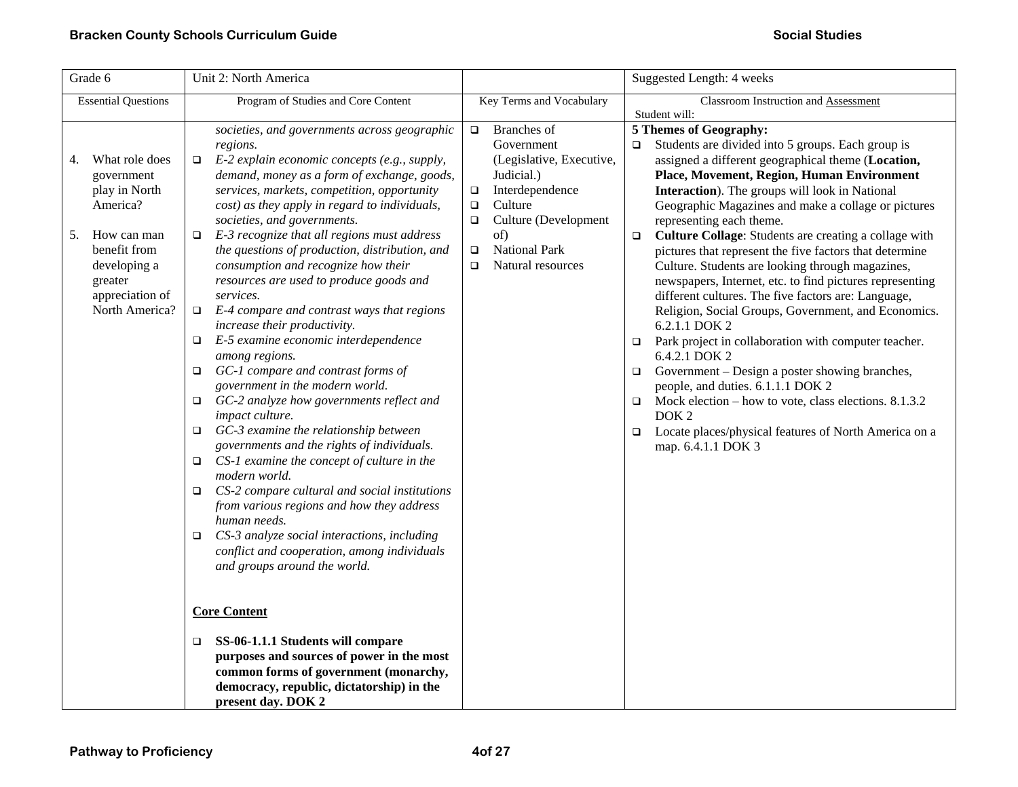| Grade 6                                                                                                                                                              | Unit 2: North America                                                                                                                                                                                                                                                                                                                                                                                                                                                                                                                                                                                                                                                                                                                                                                                                                                                                                                                                                                                                                                                                                                                                                                                                                                                                                                                                                                                                                                               | Suggested Length: 4 weeks                                                                                                                                                                                                              |                                                                                                                                                                                                                                                                                                                                                                                                                                                                                                                                                                                                                                                                                                                                                                                                                                                                                                                                                                                                                                                                       |
|----------------------------------------------------------------------------------------------------------------------------------------------------------------------|---------------------------------------------------------------------------------------------------------------------------------------------------------------------------------------------------------------------------------------------------------------------------------------------------------------------------------------------------------------------------------------------------------------------------------------------------------------------------------------------------------------------------------------------------------------------------------------------------------------------------------------------------------------------------------------------------------------------------------------------------------------------------------------------------------------------------------------------------------------------------------------------------------------------------------------------------------------------------------------------------------------------------------------------------------------------------------------------------------------------------------------------------------------------------------------------------------------------------------------------------------------------------------------------------------------------------------------------------------------------------------------------------------------------------------------------------------------------|----------------------------------------------------------------------------------------------------------------------------------------------------------------------------------------------------------------------------------------|-----------------------------------------------------------------------------------------------------------------------------------------------------------------------------------------------------------------------------------------------------------------------------------------------------------------------------------------------------------------------------------------------------------------------------------------------------------------------------------------------------------------------------------------------------------------------------------------------------------------------------------------------------------------------------------------------------------------------------------------------------------------------------------------------------------------------------------------------------------------------------------------------------------------------------------------------------------------------------------------------------------------------------------------------------------------------|
| <b>Essential Questions</b>                                                                                                                                           | Program of Studies and Core Content                                                                                                                                                                                                                                                                                                                                                                                                                                                                                                                                                                                                                                                                                                                                                                                                                                                                                                                                                                                                                                                                                                                                                                                                                                                                                                                                                                                                                                 | Key Terms and Vocabulary                                                                                                                                                                                                               | Classroom Instruction and Assessment<br>Student will:                                                                                                                                                                                                                                                                                                                                                                                                                                                                                                                                                                                                                                                                                                                                                                                                                                                                                                                                                                                                                 |
| What role does<br>4.<br>government<br>play in North<br>America?<br>How can man<br>5.<br>benefit from<br>developing a<br>greater<br>appreciation of<br>North America? | societies, and governments across geographic<br>regions.<br>E-2 explain economic concepts (e.g., supply,<br>□<br>demand, money as a form of exchange, goods,<br>services, markets, competition, opportunity<br>cost) as they apply in regard to individuals,<br>societies, and governments.<br>E-3 recognize that all regions must address<br>□<br>the questions of production, distribution, and<br>consumption and recognize how their<br>resources are used to produce goods and<br>services.<br>E-4 compare and contrast ways that regions<br>$\Box$<br>increase their productivity.<br>E-5 examine economic interdependence<br>□<br>among regions.<br>GC-1 compare and contrast forms of<br>$\Box$<br>government in the modern world.<br>GC-2 analyze how governments reflect and<br>□<br>impact culture.<br>GC-3 examine the relationship between<br>□<br>governments and the rights of individuals.<br>CS-1 examine the concept of culture in the<br>□<br>modern world.<br>CS-2 compare cultural and social institutions<br>$\Box$<br>from various regions and how they address<br>human needs.<br>CS-3 analyze social interactions, including<br>□<br>conflict and cooperation, among individuals<br>and groups around the world.<br><b>Core Content</b><br>SS-06-1.1.1 Students will compare<br>□<br>purposes and sources of power in the most<br>common forms of government (monarchy,<br>democracy, republic, dictatorship) in the<br>present day. DOK 2 | $\Box$ Branches of<br>Government<br>(Legislative, Executive,<br>Judicial.)<br>Interdependence<br>$\Box$<br>Culture<br>$\Box$<br>Culture (Development<br>$\Box$<br>of)<br><b>National Park</b><br>$\Box$<br>Natural resources<br>$\Box$ | 5 Themes of Geography:<br>Students are divided into 5 groups. Each group is<br>$\Box$<br>assigned a different geographical theme (Location,<br>Place, Movement, Region, Human Environment<br>Interaction). The groups will look in National<br>Geographic Magazines and make a collage or pictures<br>representing each theme.<br>Culture Collage: Students are creating a collage with<br>$\Box$<br>pictures that represent the five factors that determine<br>Culture. Students are looking through magazines,<br>newspapers, Internet, etc. to find pictures representing<br>different cultures. The five factors are: Language,<br>Religion, Social Groups, Government, and Economics.<br>6.2.1.1 DOK 2<br>Park project in collaboration with computer teacher.<br>□<br>6.4.2.1 DOK 2<br>Government – Design a poster showing branches,<br>□<br>people, and duties. 6.1.1.1 DOK 2<br>Mock election – how to vote, class elections. 8.1.3.2<br>$\Box$<br>DOK <sub>2</sub><br>Locate places/physical features of North America on a<br>$\Box$<br>map. 6.4.1.1 DOK 3 |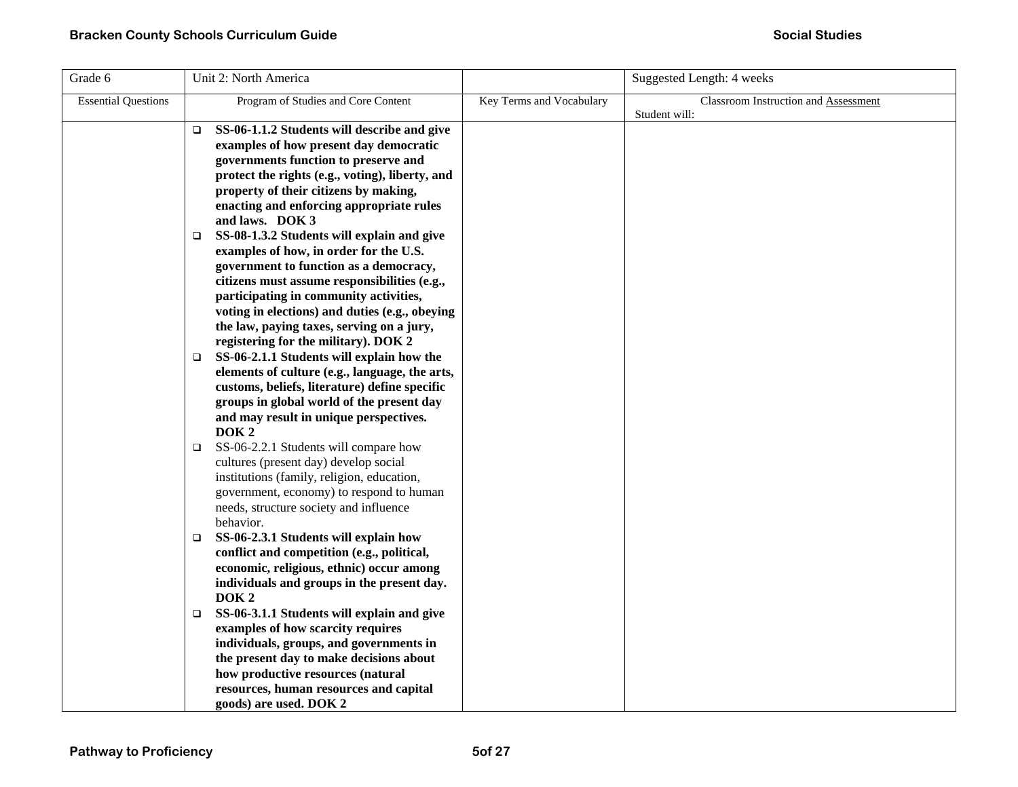| Grade 6                    | Unit 2: North America                                                                           |                          | Suggested Length: 4 weeks                             |
|----------------------------|-------------------------------------------------------------------------------------------------|--------------------------|-------------------------------------------------------|
| <b>Essential Questions</b> | Program of Studies and Core Content                                                             | Key Terms and Vocabulary | Classroom Instruction and Assessment<br>Student will: |
|                            | SS-06-1.1.2 Students will describe and give<br>$\Box$<br>examples of how present day democratic |                          |                                                       |
|                            | governments function to preserve and                                                            |                          |                                                       |
|                            | protect the rights (e.g., voting), liberty, and                                                 |                          |                                                       |
|                            | property of their citizens by making,                                                           |                          |                                                       |
|                            | enacting and enforcing appropriate rules                                                        |                          |                                                       |
|                            | and laws. DOK 3                                                                                 |                          |                                                       |
|                            | SS-08-1.3.2 Students will explain and give<br>□                                                 |                          |                                                       |
|                            | examples of how, in order for the U.S.                                                          |                          |                                                       |
|                            | government to function as a democracy,                                                          |                          |                                                       |
|                            | citizens must assume responsibilities (e.g.,                                                    |                          |                                                       |
|                            | participating in community activities,                                                          |                          |                                                       |
|                            | voting in elections) and duties (e.g., obeying                                                  |                          |                                                       |
|                            | the law, paying taxes, serving on a jury,                                                       |                          |                                                       |
|                            | registering for the military). DOK 2                                                            |                          |                                                       |
|                            | SS-06-2.1.1 Students will explain how the<br>$\Box$                                             |                          |                                                       |
|                            | elements of culture (e.g., language, the arts,                                                  |                          |                                                       |
|                            | customs, beliefs, literature) define specific                                                   |                          |                                                       |
|                            | groups in global world of the present day                                                       |                          |                                                       |
|                            | and may result in unique perspectives.                                                          |                          |                                                       |
|                            | DOK <sub>2</sub>                                                                                |                          |                                                       |
|                            | SS-06-2.2.1 Students will compare how<br>$\Box$<br>cultures (present day) develop social        |                          |                                                       |
|                            | institutions (family, religion, education,                                                      |                          |                                                       |
|                            | government, economy) to respond to human                                                        |                          |                                                       |
|                            | needs, structure society and influence                                                          |                          |                                                       |
|                            | behavior.                                                                                       |                          |                                                       |
|                            | SS-06-2.3.1 Students will explain how<br>$\Box$                                                 |                          |                                                       |
|                            | conflict and competition (e.g., political,                                                      |                          |                                                       |
|                            | economic, religious, ethnic) occur among                                                        |                          |                                                       |
|                            | individuals and groups in the present day.                                                      |                          |                                                       |
|                            | DOK <sub>2</sub>                                                                                |                          |                                                       |
|                            | SS-06-3.1.1 Students will explain and give<br>O.                                                |                          |                                                       |
|                            | examples of how scarcity requires                                                               |                          |                                                       |
|                            | individuals, groups, and governments in                                                         |                          |                                                       |
|                            | the present day to make decisions about                                                         |                          |                                                       |
|                            | how productive resources (natural                                                               |                          |                                                       |
|                            | resources, human resources and capital                                                          |                          |                                                       |
|                            | goods) are used. DOK 2                                                                          |                          |                                                       |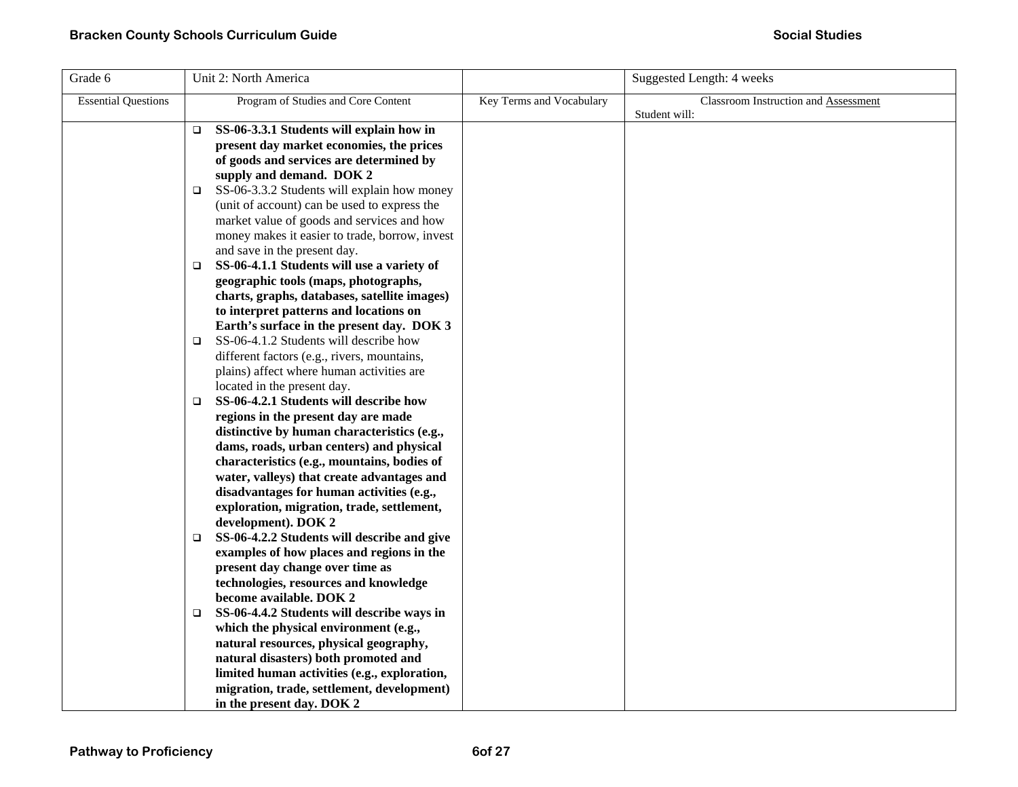| Grade 6                    | Unit 2: North America                                                                                                                                                                                                                                                                                                                                                                                                                                                                                                                                                                                                                                                                                                                                                                                                                                                               |                          | Suggested Length: 4 weeks                             |
|----------------------------|-------------------------------------------------------------------------------------------------------------------------------------------------------------------------------------------------------------------------------------------------------------------------------------------------------------------------------------------------------------------------------------------------------------------------------------------------------------------------------------------------------------------------------------------------------------------------------------------------------------------------------------------------------------------------------------------------------------------------------------------------------------------------------------------------------------------------------------------------------------------------------------|--------------------------|-------------------------------------------------------|
| <b>Essential Questions</b> | Program of Studies and Core Content                                                                                                                                                                                                                                                                                                                                                                                                                                                                                                                                                                                                                                                                                                                                                                                                                                                 | Key Terms and Vocabulary | Classroom Instruction and Assessment<br>Student will: |
|                            | SS-06-3.3.1 Students will explain how in<br>$\Box$<br>present day market economies, the prices<br>of goods and services are determined by<br>supply and demand. DOK 2<br>SS-06-3.3.2 Students will explain how money<br>$\Box$<br>(unit of account) can be used to express the<br>market value of goods and services and how<br>money makes it easier to trade, borrow, invest<br>and save in the present day.<br>SS-06-4.1.1 Students will use a variety of<br>$\Box$<br>geographic tools (maps, photographs,<br>charts, graphs, databases, satellite images)<br>to interpret patterns and locations on<br>Earth's surface in the present day. DOK 3<br>SS-06-4.1.2 Students will describe how<br>$\Box$<br>different factors (e.g., rivers, mountains,<br>plains) affect where human activities are<br>located in the present day.<br>SS-06-4.2.1 Students will describe how<br>□ |                          |                                                       |
|                            | regions in the present day are made<br>distinctive by human characteristics (e.g.,<br>dams, roads, urban centers) and physical<br>characteristics (e.g., mountains, bodies of<br>water, valleys) that create advantages and<br>disadvantages for human activities (e.g.,<br>exploration, migration, trade, settlement,<br>development). DOK 2<br>SS-06-4.2.2 Students will describe and give<br>□<br>examples of how places and regions in the<br>present day change over time as<br>technologies, resources and knowledge<br>become available. DOK 2<br>SS-06-4.4.2 Students will describe ways in<br>which the physical environment (e.g.,<br>natural resources, physical geography,<br>natural disasters) both promoted and<br>limited human activities (e.g., exploration,<br>migration, trade, settlement, development)<br>in the present day. DOK 2                           |                          |                                                       |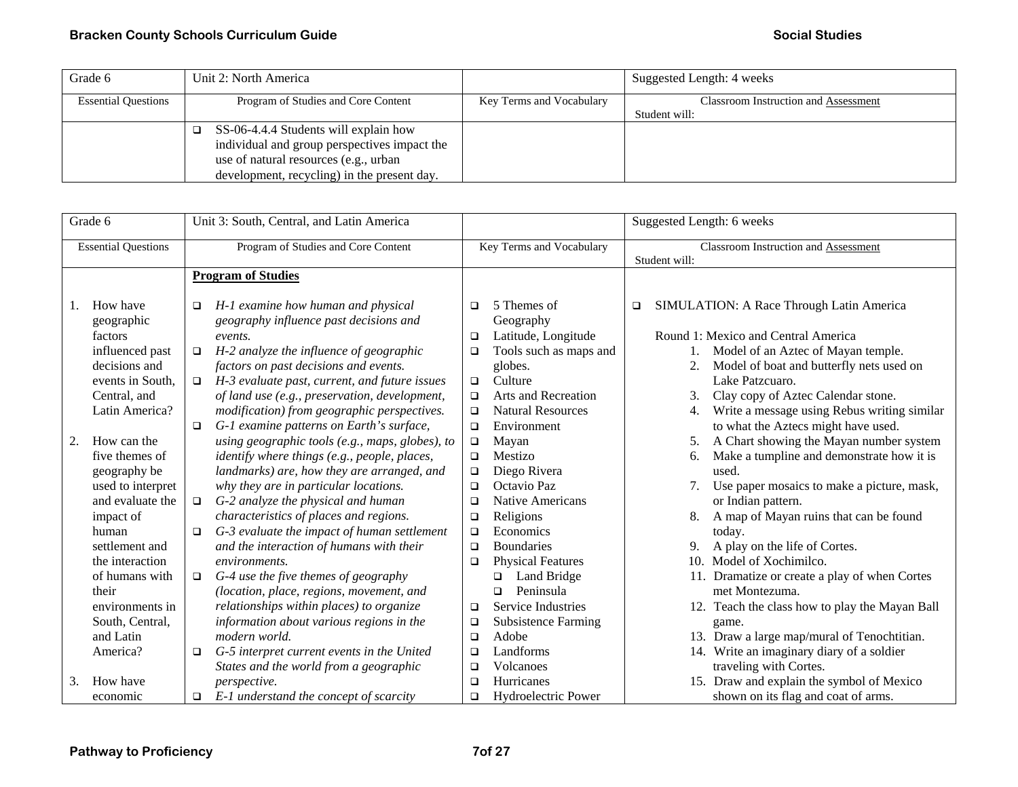| Grade 6                    | Unit 2: North America                        |                          | Suggested Length: 4 weeks                   |
|----------------------------|----------------------------------------------|--------------------------|---------------------------------------------|
| <b>Essential Questions</b> | Program of Studies and Core Content          | Key Terms and Vocabulary | <b>Classroom Instruction and Assessment</b> |
|                            |                                              |                          | Student will:                               |
|                            | SS-06-4.4.4 Students will explain how        |                          |                                             |
|                            | individual and group perspectives impact the |                          |                                             |
|                            | use of natural resources (e.g., urban        |                          |                                             |
|                            | development, recycling) in the present day.  |                          |                                             |

|          | Grade 6                                                                                                                                                                                                                                                                                                                                                                    | Unit 3: South, Central, and Latin America                                                                                                                                                                                                                                                                                                                                                                                                                                                                                                                                                                                                                                                                                                                                                                                                                                                                                                                                                                                                                                                                                 |                                                                                                                                                                                                                |                                                                                                                                                                                                                                                                                                                                                                                                                                                              |   | Suggested Length: 6 weeks                                                                                                                                                                                                                                                                                                                                                                                                                                                                                                                                                                                                                                                                                                                                                                                                                                                                            |
|----------|----------------------------------------------------------------------------------------------------------------------------------------------------------------------------------------------------------------------------------------------------------------------------------------------------------------------------------------------------------------------------|---------------------------------------------------------------------------------------------------------------------------------------------------------------------------------------------------------------------------------------------------------------------------------------------------------------------------------------------------------------------------------------------------------------------------------------------------------------------------------------------------------------------------------------------------------------------------------------------------------------------------------------------------------------------------------------------------------------------------------------------------------------------------------------------------------------------------------------------------------------------------------------------------------------------------------------------------------------------------------------------------------------------------------------------------------------------------------------------------------------------------|----------------------------------------------------------------------------------------------------------------------------------------------------------------------------------------------------------------|--------------------------------------------------------------------------------------------------------------------------------------------------------------------------------------------------------------------------------------------------------------------------------------------------------------------------------------------------------------------------------------------------------------------------------------------------------------|---|------------------------------------------------------------------------------------------------------------------------------------------------------------------------------------------------------------------------------------------------------------------------------------------------------------------------------------------------------------------------------------------------------------------------------------------------------------------------------------------------------------------------------------------------------------------------------------------------------------------------------------------------------------------------------------------------------------------------------------------------------------------------------------------------------------------------------------------------------------------------------------------------------|
|          | <b>Essential Questions</b>                                                                                                                                                                                                                                                                                                                                                 | Program of Studies and Core Content                                                                                                                                                                                                                                                                                                                                                                                                                                                                                                                                                                                                                                                                                                                                                                                                                                                                                                                                                                                                                                                                                       |                                                                                                                                                                                                                | Key Terms and Vocabulary                                                                                                                                                                                                                                                                                                                                                                                                                                     |   | Classroom Instruction and Assessment<br>Student will:                                                                                                                                                                                                                                                                                                                                                                                                                                                                                                                                                                                                                                                                                                                                                                                                                                                |
|          |                                                                                                                                                                                                                                                                                                                                                                            | <b>Program of Studies</b>                                                                                                                                                                                                                                                                                                                                                                                                                                                                                                                                                                                                                                                                                                                                                                                                                                                                                                                                                                                                                                                                                                 |                                                                                                                                                                                                                |                                                                                                                                                                                                                                                                                                                                                                                                                                                              |   |                                                                                                                                                                                                                                                                                                                                                                                                                                                                                                                                                                                                                                                                                                                                                                                                                                                                                                      |
| 1.<br>2. | How have<br>geographic<br>factors<br>influenced past<br>decisions and<br>events in South,<br>Central, and<br>Latin America?<br>How can the<br>five themes of<br>geography be<br>used to interpret<br>and evaluate the<br>impact of<br>human<br>settlement and<br>the interaction<br>of humans with<br>their<br>environments in<br>South, Central,<br>and Latin<br>America? | H-1 examine how human and physical<br>□<br>geography influence past decisions and<br>events.<br>H-2 analyze the influence of geographic<br>$\Box$<br>factors on past decisions and events.<br>H-3 evaluate past, current, and future issues<br>$\Box$<br>of land use (e.g., preservation, development,<br>modification) from geographic perspectives.<br>G-1 examine patterns on Earth's surface,<br>$\Box$<br>using geographic tools (e.g., maps, globes), to<br>identify where things (e.g., people, places,<br>landmarks) are, how they are arranged, and<br>why they are in particular locations.<br>G-2 analyze the physical and human<br>$\Box$<br>characteristics of places and regions.<br>G-3 evaluate the impact of human settlement<br>o<br>and the interaction of humans with their<br>environments.<br>G-4 use the five themes of geography<br>$\Box$<br>(location, place, regions, movement, and<br>relationships within places) to organize<br>information about various regions in the<br>modern world.<br>G-5 interpret current events in the United<br>$\Box$<br>States and the world from a geographic | $\Box$<br>$\Box$<br>$\Box$<br>$\Box$<br>$\Box$<br>$\Box$<br>$\Box$<br>$\Box$<br>$\Box$<br>$\Box$<br>$\Box$<br>$\Box$<br>$\Box$<br>$\Box$<br>$\Box$<br>$\Box$<br>$\Box$<br>$\Box$<br>$\Box$<br>$\Box$<br>$\Box$ | 5 Themes of<br>Geography<br>Latitude, Longitude<br>Tools such as maps and<br>globes.<br>Culture<br>Arts and Recreation<br><b>Natural Resources</b><br>Environment<br>Mayan<br>Mestizo<br>Diego Rivera<br>Octavio Paz<br><b>Native Americans</b><br>Religions<br>Economics<br><b>Boundaries</b><br><b>Physical Features</b><br>Land Bridge<br>❏<br>Peninsula<br>$\Box$<br>Service Industries<br><b>Subsistence Farming</b><br>Adobe<br>Landforms<br>Volcanoes | ❏ | SIMULATION: A Race Through Latin America<br>Round 1: Mexico and Central America<br>Model of an Aztec of Mayan temple.<br>Model of boat and butterfly nets used on<br>2.<br>Lake Patzcuaro.<br>Clay copy of Aztec Calendar stone.<br>Write a message using Rebus writing similar<br>4.<br>to what the Aztecs might have used.<br>A Chart showing the Mayan number system<br>Make a tumpline and demonstrate how it is<br>6.<br>used.<br>Use paper mosaics to make a picture, mask,<br>7.<br>or Indian pattern.<br>A map of Mayan ruins that can be found<br>today.<br>A play on the life of Cortes.<br>Model of Xochimilco.<br>10 <sub>1</sub><br>Dramatize or create a play of when Cortes<br>11.<br>met Montezuma.<br>12. Teach the class how to play the Mayan Ball<br>game.<br>13. Draw a large map/mural of Tenochtitian.<br>14. Write an imaginary diary of a soldier<br>traveling with Cortes. |
| 3.       | How have<br>economic                                                                                                                                                                                                                                                                                                                                                       | perspective.<br>E-1 understand the concept of scarcity<br>$\Box$                                                                                                                                                                                                                                                                                                                                                                                                                                                                                                                                                                                                                                                                                                                                                                                                                                                                                                                                                                                                                                                          | $\Box$<br>$\Box$                                                                                                                                                                                               | Hurricanes<br>Hydroelectric Power                                                                                                                                                                                                                                                                                                                                                                                                                            |   | 15. Draw and explain the symbol of Mexico<br>shown on its flag and coat of arms.                                                                                                                                                                                                                                                                                                                                                                                                                                                                                                                                                                                                                                                                                                                                                                                                                     |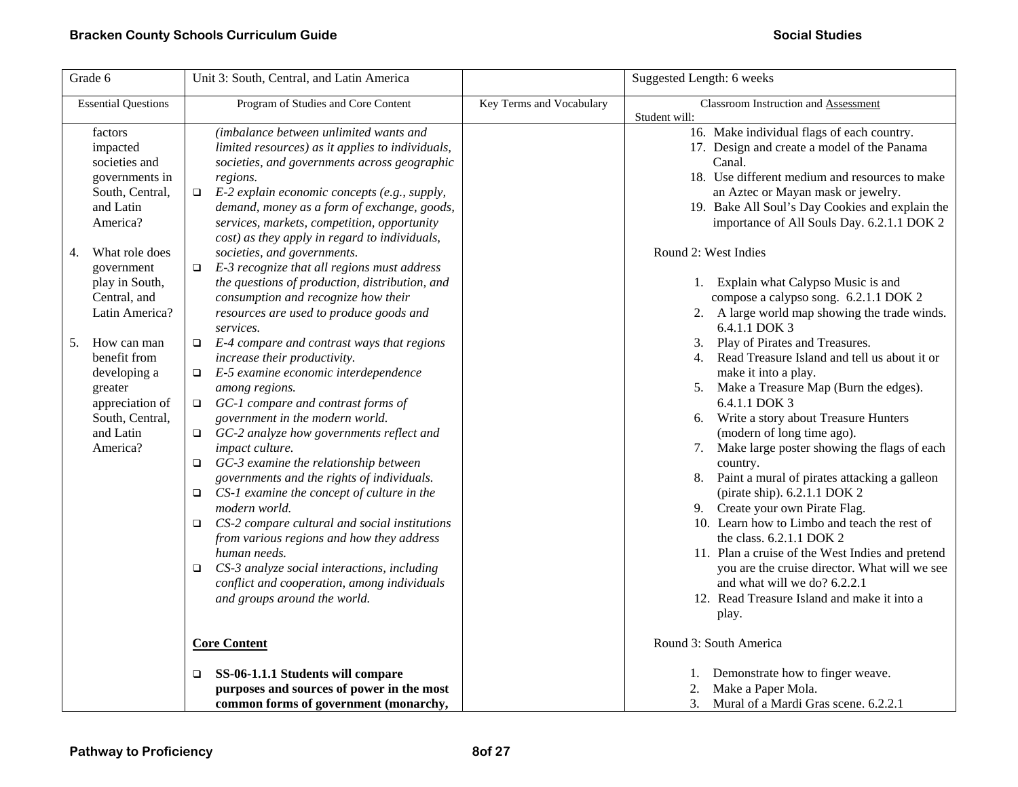| Grade 6                                                                                                                                                                                                                                                      | Unit 3: South, Central, and Latin America                                                                                                                                                                                                                                                                                                                                                                                                                                                                                                                                                                                                                                                                                                                            |                          | Suggested Length: 6 weeks                                                                                                                                                                                                                                                                                                                                                                                                                                                                                                                                                                                                                            |
|--------------------------------------------------------------------------------------------------------------------------------------------------------------------------------------------------------------------------------------------------------------|----------------------------------------------------------------------------------------------------------------------------------------------------------------------------------------------------------------------------------------------------------------------------------------------------------------------------------------------------------------------------------------------------------------------------------------------------------------------------------------------------------------------------------------------------------------------------------------------------------------------------------------------------------------------------------------------------------------------------------------------------------------------|--------------------------|------------------------------------------------------------------------------------------------------------------------------------------------------------------------------------------------------------------------------------------------------------------------------------------------------------------------------------------------------------------------------------------------------------------------------------------------------------------------------------------------------------------------------------------------------------------------------------------------------------------------------------------------------|
| <b>Essential Questions</b>                                                                                                                                                                                                                                   | Program of Studies and Core Content                                                                                                                                                                                                                                                                                                                                                                                                                                                                                                                                                                                                                                                                                                                                  | Key Terms and Vocabulary | Classroom Instruction and Assessment                                                                                                                                                                                                                                                                                                                                                                                                                                                                                                                                                                                                                 |
| factors<br>impacted<br>societies and<br>governments in<br>South, Central,<br>and Latin<br>America?<br>What role does<br>4.<br>government<br>play in South,<br>Central, and<br>Latin America?<br>How can man<br>5.<br>benefit from<br>developing a<br>greater | (imbalance between unlimited wants and<br>limited resources) as it applies to individuals,<br>societies, and governments across geographic<br>regions.<br>E-2 explain economic concepts (e.g., supply,<br>$\Box$<br>demand, money as a form of exchange, goods,<br>services, markets, competition, opportunity<br>cost) as they apply in regard to individuals,<br>societies, and governments.<br>E-3 recognize that all regions must address<br>$\Box$<br>the questions of production, distribution, and<br>consumption and recognize how their<br>resources are used to produce goods and<br>services.<br>E-4 compare and contrast ways that regions<br>$\Box$<br>increase their productivity.<br>E-5 examine economic interdependence<br>$\Box$<br>among regions. |                          | Student will:<br>16. Make individual flags of each country.<br>17. Design and create a model of the Panama<br>Canal.<br>18. Use different medium and resources to make<br>an Aztec or Mayan mask or jewelry.<br>19. Bake All Soul's Day Cookies and explain the<br>importance of All Souls Day. 6.2.1.1 DOK 2<br>Round 2: West Indies<br>1. Explain what Calypso Music is and<br>compose a calypso song. 6.2.1.1 DOK 2<br>2. A large world map showing the trade winds.<br>6.4.1.1 DOK 3<br>3. Play of Pirates and Treasures.<br>4. Read Treasure Island and tell us about it or<br>make it into a play.<br>5. Make a Treasure Map (Burn the edges). |
| appreciation of<br>South, Central,<br>and Latin<br>America?                                                                                                                                                                                                  | GC-1 compare and contrast forms of<br>$\Box$<br>government in the modern world.<br>GC-2 analyze how governments reflect and<br>$\Box$<br>impact culture.<br>GC-3 examine the relationship between<br>$\Box$<br>governments and the rights of individuals.<br>CS-1 examine the concept of culture in the<br>$\Box$<br>modern world.<br>CS-2 compare cultural and social institutions<br>$\Box$<br>from various regions and how they address<br>human needs.<br>CS-3 analyze social interactions, including<br>$\Box$<br>conflict and cooperation, among individuals<br>and groups around the world.<br><b>Core Content</b><br>SS-06-1.1.1 Students will compare<br>$\Box$<br>purposes and sources of power in the most                                                |                          | 6.4.1.1 DOK 3<br>6. Write a story about Treasure Hunters<br>(modern of long time ago).<br>Make large poster showing the flags of each<br>7.<br>country.<br>8. Paint a mural of pirates attacking a galleon<br>(pirate ship). 6.2.1.1 DOK 2<br>9. Create your own Pirate Flag.<br>10. Learn how to Limbo and teach the rest of<br>the class. 6.2.1.1 DOK 2<br>11. Plan a cruise of the West Indies and pretend<br>you are the cruise director. What will we see<br>and what will we do? 6.2.2.1<br>12. Read Treasure Island and make it into a<br>play.<br>Round 3: South America<br>1. Demonstrate how to finger weave.<br>Make a Paper Mola.<br>2.  |
|                                                                                                                                                                                                                                                              | common forms of government (monarchy,                                                                                                                                                                                                                                                                                                                                                                                                                                                                                                                                                                                                                                                                                                                                |                          | 3.<br>Mural of a Mardi Gras scene. 6.2.2.1                                                                                                                                                                                                                                                                                                                                                                                                                                                                                                                                                                                                           |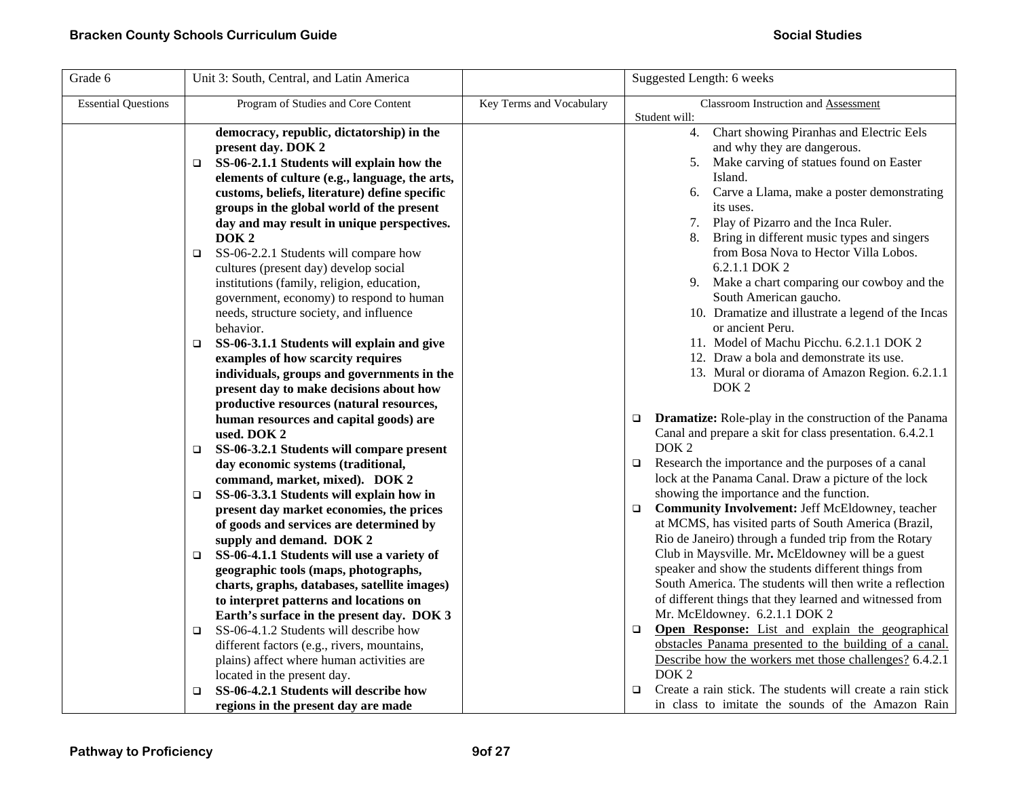| Grade 6                    | Unit 3: South, Central, and Latin America                                                                                                                                                                                                                                                                                            |                          | Suggested Length: 6 weeks                                                                                                                                                                                                                                                                                                       |
|----------------------------|--------------------------------------------------------------------------------------------------------------------------------------------------------------------------------------------------------------------------------------------------------------------------------------------------------------------------------------|--------------------------|---------------------------------------------------------------------------------------------------------------------------------------------------------------------------------------------------------------------------------------------------------------------------------------------------------------------------------|
| <b>Essential Questions</b> | Program of Studies and Core Content                                                                                                                                                                                                                                                                                                  | Key Terms and Vocabulary | Classroom Instruction and Assessment                                                                                                                                                                                                                                                                                            |
|                            | democracy, republic, dictatorship) in the<br>present day. DOK 2<br>SS-06-2.1.1 Students will explain how the<br>o.<br>elements of culture (e.g., language, the arts,<br>customs, beliefs, literature) define specific<br>groups in the global world of the present<br>day and may result in unique perspectives.<br>DOK <sub>2</sub> |                          | Student will:<br>Chart showing Piranhas and Electric Eels<br>4.<br>and why they are dangerous.<br>5. Make carving of statues found on Easter<br>Island.<br>Carve a Llama, make a poster demonstrating<br>6.<br>its uses.<br>Play of Pizarro and the Inca Ruler.<br>7.<br>Bring in different music types and singers             |
|                            | SS-06-2.2.1 Students will compare how<br>o.<br>cultures (present day) develop social<br>institutions (family, religion, education,<br>government, economy) to respond to human<br>needs, structure society, and influence<br>behavior.                                                                                               |                          | from Bosa Nova to Hector Villa Lobos.<br>6.2.1.1 DOK 2<br>9. Make a chart comparing our cowboy and the<br>South American gaucho.<br>10. Dramatize and illustrate a legend of the Incas<br>or ancient Peru.                                                                                                                      |
|                            | SS-06-3.1.1 Students will explain and give<br>o.<br>examples of how scarcity requires<br>individuals, groups and governments in the<br>present day to make decisions about how<br>productive resources (natural resources,<br>human resources and capital goods) are                                                                 |                          | 11. Model of Machu Picchu. 6.2.1.1 DOK 2<br>12. Draw a bola and demonstrate its use.<br>13. Mural or diorama of Amazon Region. 6.2.1.1<br>DOK <sub>2</sub><br><b>Dramatize:</b> Role-play in the construction of the Panama<br>$\Box$                                                                                           |
|                            | used. DOK 2<br>SS-06-3.2.1 Students will compare present<br>$\Box$<br>day economic systems (traditional,                                                                                                                                                                                                                             |                          | Canal and prepare a skit for class presentation. 6.4.2.1<br>DOK <sub>2</sub><br>Research the importance and the purposes of a canal<br>$\Box$                                                                                                                                                                                   |
|                            | command, market, mixed). DOK 2<br>SS-06-3.3.1 Students will explain how in<br>$\Box$<br>present day market economies, the prices<br>of goods and services are determined by                                                                                                                                                          |                          | lock at the Panama Canal. Draw a picture of the lock<br>showing the importance and the function.<br><b>Community Involvement: Jeff McEldowney, teacher</b><br>$\Box$<br>at MCMS, has visited parts of South America (Brazil,                                                                                                    |
|                            | supply and demand. DOK 2<br>SS-06-4.1.1 Students will use a variety of<br>$\Box$<br>geographic tools (maps, photographs,<br>charts, graphs, databases, satellite images)<br>to interpret patterns and locations on<br>Earth's surface in the present day. DOK 3                                                                      |                          | Rio de Janeiro) through a funded trip from the Rotary<br>Club in Maysville. Mr. McEldowney will be a guest<br>speaker and show the students different things from<br>South America. The students will then write a reflection<br>of different things that they learned and witnessed from<br>Mr. McEldowney. 6.2.1.1 DOK 2      |
|                            | SS-06-4.1.2 Students will describe how<br>$\Box$<br>different factors (e.g., rivers, mountains,<br>plains) affect where human activities are<br>located in the present day.<br>SS-06-4.2.1 Students will describe how<br>◻<br>regions in the present day are made                                                                    |                          | Open Response: List and explain the geographical<br>$\Box$<br>obstacles Panama presented to the building of a canal.<br>Describe how the workers met those challenges? 6.4.2.1<br>DOK <sub>2</sub><br>Create a rain stick. The students will create a rain stick<br>$\Box$<br>in class to imitate the sounds of the Amazon Rain |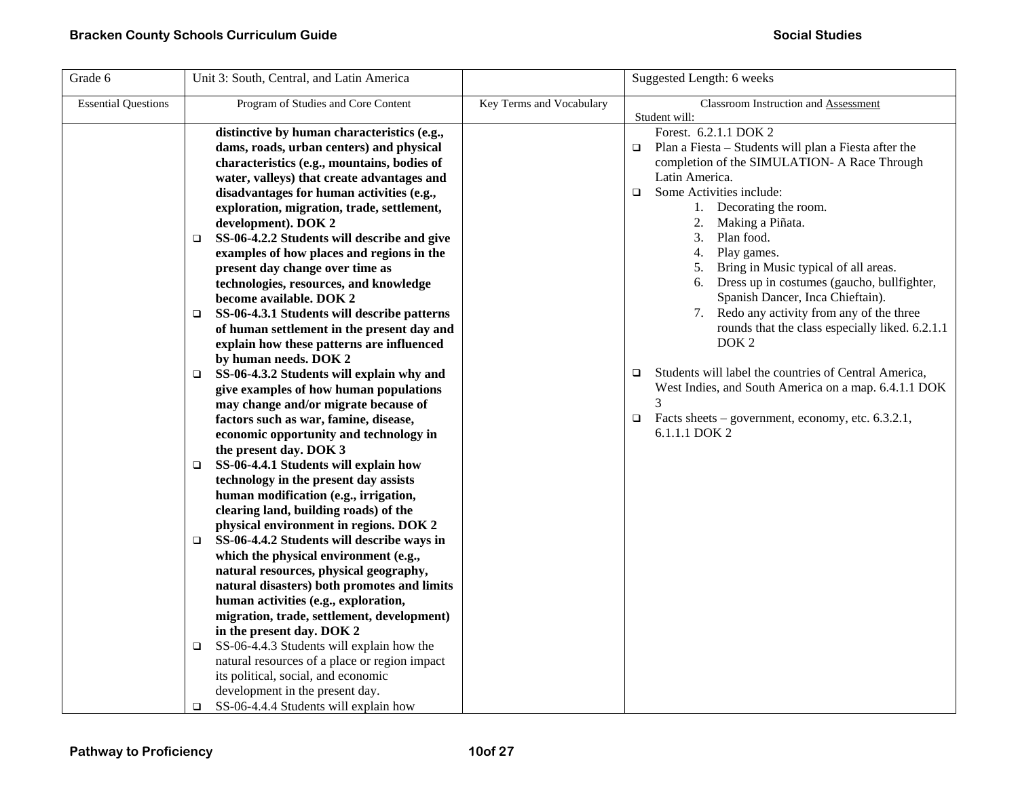| <b>Essential Questions</b> | Program of Studies and Core Content                                                                                                                                                                                                                                                                                                                                                                                                                                                                                                                                                                                                                                                                                                                                                                                                                                                                                                                                                                                                                                                                                                                                                                                                                                                                                                                                                                                                                                                                                         |                          |                                                                                                                                                                                                                                                                                                                                                                                                                                                                                                                                                                                                                                                                                                                                                                        |
|----------------------------|-----------------------------------------------------------------------------------------------------------------------------------------------------------------------------------------------------------------------------------------------------------------------------------------------------------------------------------------------------------------------------------------------------------------------------------------------------------------------------------------------------------------------------------------------------------------------------------------------------------------------------------------------------------------------------------------------------------------------------------------------------------------------------------------------------------------------------------------------------------------------------------------------------------------------------------------------------------------------------------------------------------------------------------------------------------------------------------------------------------------------------------------------------------------------------------------------------------------------------------------------------------------------------------------------------------------------------------------------------------------------------------------------------------------------------------------------------------------------------------------------------------------------------|--------------------------|------------------------------------------------------------------------------------------------------------------------------------------------------------------------------------------------------------------------------------------------------------------------------------------------------------------------------------------------------------------------------------------------------------------------------------------------------------------------------------------------------------------------------------------------------------------------------------------------------------------------------------------------------------------------------------------------------------------------------------------------------------------------|
|                            |                                                                                                                                                                                                                                                                                                                                                                                                                                                                                                                                                                                                                                                                                                                                                                                                                                                                                                                                                                                                                                                                                                                                                                                                                                                                                                                                                                                                                                                                                                                             | Key Terms and Vocabulary | Classroom Instruction and Assessment<br>Student will:                                                                                                                                                                                                                                                                                                                                                                                                                                                                                                                                                                                                                                                                                                                  |
|                            | distinctive by human characteristics (e.g.,<br>dams, roads, urban centers) and physical<br>characteristics (e.g., mountains, bodies of<br>water, valleys) that create advantages and<br>disadvantages for human activities (e.g.,<br>exploration, migration, trade, settlement,<br>development). DOK 2<br>SS-06-4.2.2 Students will describe and give<br>□<br>examples of how places and regions in the<br>present day change over time as<br>technologies, resources, and knowledge<br>become available. DOK 2<br>SS-06-4.3.1 Students will describe patterns<br>□<br>of human settlement in the present day and<br>explain how these patterns are influenced<br>by human needs. DOK 2<br>SS-06-4.3.2 Students will explain why and<br>o.<br>give examples of how human populations<br>may change and/or migrate because of<br>factors such as war, famine, disease,<br>economic opportunity and technology in<br>the present day. DOK 3<br>SS-06-4.4.1 Students will explain how<br>$\Box$<br>technology in the present day assists<br>human modification (e.g., irrigation,<br>clearing land, building roads) of the<br>physical environment in regions. DOK 2<br>SS-06-4.4.2 Students will describe ways in<br>□<br>which the physical environment (e.g.,<br>natural resources, physical geography,<br>natural disasters) both promotes and limits<br>human activities (e.g., exploration,<br>migration, trade, settlement, development)<br>in the present day. DOK 2<br>SS-06-4.4.3 Students will explain how the<br>❏ |                          | Forest. 6.2.1.1 DOK 2<br>Plan a Fiesta - Students will plan a Fiesta after the<br>$\Box$<br>completion of the SIMULATION- A Race Through<br>Latin America.<br>$\Box$<br>Some Activities include:<br>1. Decorating the room.<br>2.<br>Making a Piñata.<br>3. Plan food.<br>4.<br>Play games.<br>Bring in Music typical of all areas.<br>5.<br>6. Dress up in costumes (gaucho, bullfighter,<br>Spanish Dancer, Inca Chieftain).<br>Redo any activity from any of the three<br>7.<br>rounds that the class especially liked. 6.2.1.1<br>DOK <sub>2</sub><br>Students will label the countries of Central America,<br>$\Box$<br>West Indies, and South America on a map. 6.4.1.1 DOK<br>3<br>Facts sheets – government, economy, etc. 6.3.2.1,<br>$\Box$<br>6.1.1.1 DOK 2 |
|                            | natural resources of a place or region impact<br>its political, social, and economic<br>development in the present day.<br>SS-06-4.4.4 Students will explain how<br>o.                                                                                                                                                                                                                                                                                                                                                                                                                                                                                                                                                                                                                                                                                                                                                                                                                                                                                                                                                                                                                                                                                                                                                                                                                                                                                                                                                      |                          |                                                                                                                                                                                                                                                                                                                                                                                                                                                                                                                                                                                                                                                                                                                                                                        |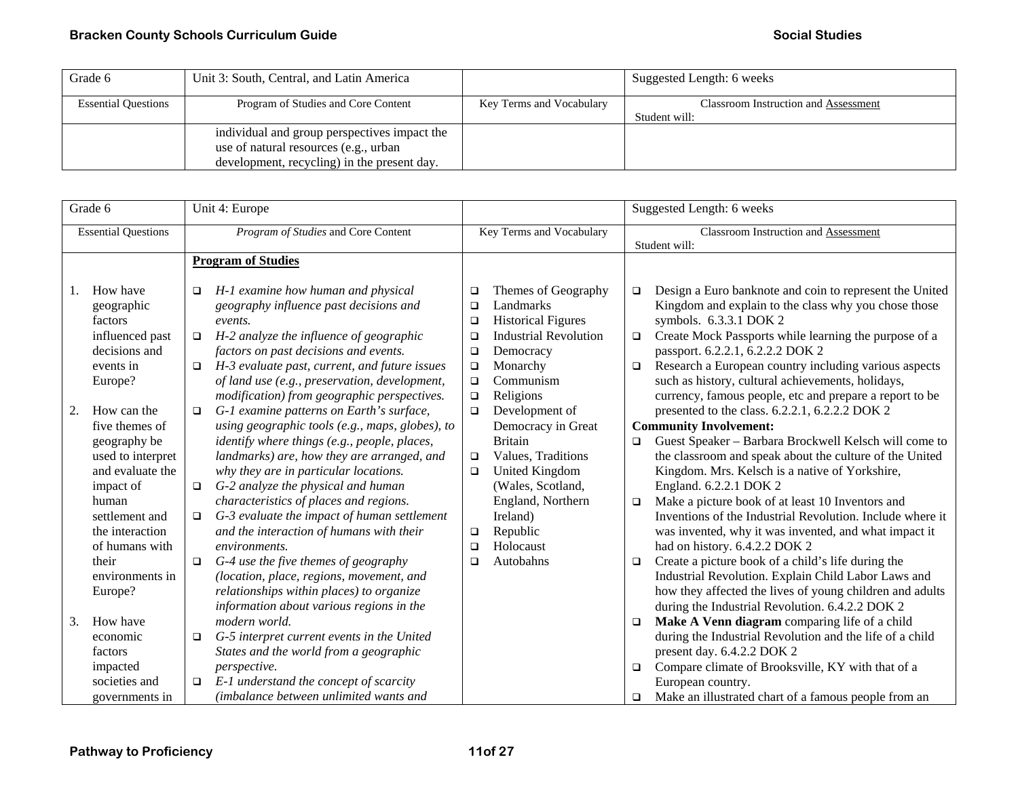| Grade 6                    | Unit 3: South, Central, and Latin America    |                          | Suggested Length: 6 weeks            |
|----------------------------|----------------------------------------------|--------------------------|--------------------------------------|
| <b>Essential Questions</b> | Program of Studies and Core Content          | Key Terms and Vocabulary | Classroom Instruction and Assessment |
|                            |                                              |                          | Student will:                        |
|                            | individual and group perspectives impact the |                          |                                      |
|                            | use of natural resources (e.g., urban        |                          |                                      |
|                            | development, recycling) in the present day.  |                          |                                      |

|    | Grade 6                                                                                                                                                                                     | Unit 4: Europe                                                                                                                                                                                                                                                                                                                                                                                                                                                                                                                                                                               |                                                                    |                                                                                                                                                                          |                            | Suggested Length: 6 weeks                                                                                                                                                                                                                                                                                                                                                                                                                                                                                                                                                                                                                                            |
|----|---------------------------------------------------------------------------------------------------------------------------------------------------------------------------------------------|----------------------------------------------------------------------------------------------------------------------------------------------------------------------------------------------------------------------------------------------------------------------------------------------------------------------------------------------------------------------------------------------------------------------------------------------------------------------------------------------------------------------------------------------------------------------------------------------|--------------------------------------------------------------------|--------------------------------------------------------------------------------------------------------------------------------------------------------------------------|----------------------------|----------------------------------------------------------------------------------------------------------------------------------------------------------------------------------------------------------------------------------------------------------------------------------------------------------------------------------------------------------------------------------------------------------------------------------------------------------------------------------------------------------------------------------------------------------------------------------------------------------------------------------------------------------------------|
|    |                                                                                                                                                                                             |                                                                                                                                                                                                                                                                                                                                                                                                                                                                                                                                                                                              |                                                                    |                                                                                                                                                                          |                            |                                                                                                                                                                                                                                                                                                                                                                                                                                                                                                                                                                                                                                                                      |
|    | <b>Essential Questions</b>                                                                                                                                                                  | Program of Studies and Core Content                                                                                                                                                                                                                                                                                                                                                                                                                                                                                                                                                          |                                                                    | Key Terms and Vocabulary                                                                                                                                                 |                            | Classroom Instruction and Assessment<br>Student will:                                                                                                                                                                                                                                                                                                                                                                                                                                                                                                                                                                                                                |
|    |                                                                                                                                                                                             | <b>Program of Studies</b>                                                                                                                                                                                                                                                                                                                                                                                                                                                                                                                                                                    |                                                                    |                                                                                                                                                                          |                            |                                                                                                                                                                                                                                                                                                                                                                                                                                                                                                                                                                                                                                                                      |
|    |                                                                                                                                                                                             |                                                                                                                                                                                                                                                                                                                                                                                                                                                                                                                                                                                              |                                                                    |                                                                                                                                                                          |                            |                                                                                                                                                                                                                                                                                                                                                                                                                                                                                                                                                                                                                                                                      |
| 1. | How have<br>geographic<br>factors<br>influenced past<br>decisions and<br>events in<br>Europe?                                                                                               | H-1 examine how human and physical<br>$\Box$<br>geography influence past decisions and<br>events.<br>H-2 analyze the influence of geographic<br>$\Box$<br>factors on past decisions and events.<br>H-3 evaluate past, current, and future issues<br>$\Box$<br>of land use (e.g., preservation, development,                                                                                                                                                                                                                                                                                  | $\Box$<br>$\Box$<br>$\Box$<br>$\Box$<br>$\Box$<br>$\Box$<br>$\Box$ | Themes of Geography<br>Landmarks<br><b>Historical Figures</b><br><b>Industrial Revolution</b><br>Democracy<br>Monarchy<br>Communism                                      | □<br>$\Box$<br>$\Box$      | Design a Euro banknote and coin to represent the United<br>Kingdom and explain to the class why you chose those<br>symbols. 6.3.3.1 DOK 2<br>Create Mock Passports while learning the purpose of a<br>passport. 6.2.2.1, 6.2.2.2 DOK 2<br>Research a European country including various aspects<br>such as history, cultural achievements, holidays,                                                                                                                                                                                                                                                                                                                 |
| 2. | How can the                                                                                                                                                                                 | modification) from geographic perspectives.<br>G-1 examine patterns on Earth's surface,<br>$\Box$                                                                                                                                                                                                                                                                                                                                                                                                                                                                                            | $\Box$<br>$\Box$                                                   | Religions<br>Development of                                                                                                                                              |                            | currency, famous people, etc and prepare a report to be<br>presented to the class. 6.2.2.1, 6.2.2.2 DOK 2                                                                                                                                                                                                                                                                                                                                                                                                                                                                                                                                                            |
|    | five themes of<br>geography be<br>used to interpret<br>and evaluate the<br>impact of<br>human<br>settlement and<br>the interaction<br>of humans with<br>their<br>environments in<br>Europe? | using geographic tools (e.g., maps, globes), to<br>identify where things (e.g., people, places,<br>landmarks) are, how they are arranged, and<br>why they are in particular locations.<br>G-2 analyze the physical and human<br>$\Box$<br>characteristics of places and regions.<br>G-3 evaluate the impact of human settlement<br>$\Box$<br>and the interaction of humans with their<br>environments.<br>G-4 use the five themes of geography<br>$\Box$<br>(location, place, regions, movement, and<br>relationships within places) to organize<br>information about various regions in the | $\Box$<br>$\Box$<br>$\Box$<br>□<br>$\Box$                          | Democracy in Great<br><b>Britain</b><br>Values, Traditions<br>United Kingdom<br>(Wales, Scotland,<br>England, Northern<br>Ireland)<br>Republic<br>Holocaust<br>Autobahns | $\Box$<br>$\Box$<br>$\Box$ | <b>Community Involvement:</b><br>Guest Speaker - Barbara Brockwell Kelsch will come to<br>the classroom and speak about the culture of the United<br>Kingdom. Mrs. Kelsch is a native of Yorkshire,<br>England. 6.2.2.1 DOK 2<br>Make a picture book of at least 10 Inventors and<br>Inventions of the Industrial Revolution. Include where it<br>was invented, why it was invented, and what impact it<br>had on history. 6.4.2.2 DOK 2<br>Create a picture book of a child's life during the<br>Industrial Revolution. Explain Child Labor Laws and<br>how they affected the lives of young children and adults<br>during the Industrial Revolution. 6.4.2.2 DOK 2 |
| 3. | How have<br>economic<br>factors<br>impacted<br>societies and<br>governments in                                                                                                              | modern world.<br>G-5 interpret current events in the United<br>$\Box$<br>States and the world from a geographic<br><i>perspective.</i><br>E-1 understand the concept of scarcity<br>$\Box$<br><i>(imbalance between unlimited wants and</i> )                                                                                                                                                                                                                                                                                                                                                |                                                                    |                                                                                                                                                                          | $\Box$<br>$\Box$<br>$\Box$ | Make A Venn diagram comparing life of a child<br>during the Industrial Revolution and the life of a child<br>present day. 6.4.2.2 DOK 2<br>Compare climate of Brooksville, KY with that of a<br>European country.<br>Make an illustrated chart of a famous people from an                                                                                                                                                                                                                                                                                                                                                                                            |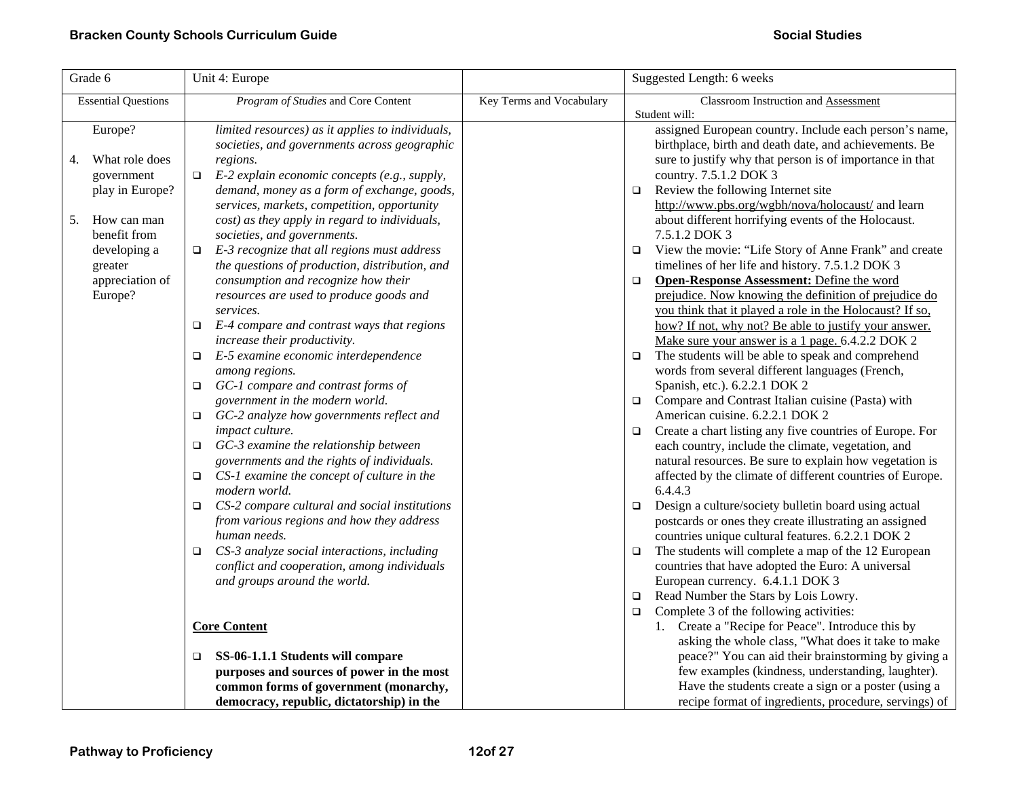| Grade 6                    | Unit 4: Europe                                                                             | Suggested Length: 6 weeks |                                                                                                                  |  |
|----------------------------|--------------------------------------------------------------------------------------------|---------------------------|------------------------------------------------------------------------------------------------------------------|--|
| <b>Essential Questions</b> | Program of Studies and Core Content                                                        | Key Terms and Vocabulary  | Classroom Instruction and Assessment                                                                             |  |
|                            |                                                                                            |                           | Student will:                                                                                                    |  |
| Europe?                    | limited resources) as it applies to individuals,                                           |                           | assigned European country. Include each person's name,<br>birthplace, birth and death date, and achievements. Be |  |
|                            | societies, and governments across geographic                                               |                           |                                                                                                                  |  |
| What role does<br>4.       | regions.                                                                                   |                           | sure to justify why that person is of importance in that                                                         |  |
| government                 | E-2 explain economic concepts (e.g., supply,<br>$\Box$                                     |                           | country. 7.5.1.2 DOK 3                                                                                           |  |
| play in Europe?            | demand, money as a form of exchange, goods,<br>services, markets, competition, opportunity |                           | Review the following Internet site<br>$\Box$<br>http://www.pbs.org/wgbh/nova/holocaust/ and learn                |  |
| How can man<br>5.          |                                                                                            |                           | about different horrifying events of the Holocaust.                                                              |  |
| benefit from               | cost) as they apply in regard to individuals,                                              |                           | 7.5.1.2 DOK 3                                                                                                    |  |
|                            | societies, and governments.                                                                |                           |                                                                                                                  |  |
| developing a               | E-3 recognize that all regions must address<br>$\Box$                                      |                           | View the movie: "Life Story of Anne Frank" and create<br>$\Box$                                                  |  |
| greater                    | the questions of production, distribution, and                                             |                           | timelines of her life and history. 7.5.1.2 DOK 3                                                                 |  |
| appreciation of            | consumption and recognize how their                                                        |                           | Open-Response Assessment: Define the word<br>$\Box$                                                              |  |
| Europe?                    | resources are used to produce goods and                                                    |                           | prejudice. Now knowing the definition of prejudice do                                                            |  |
|                            | services.                                                                                  |                           | you think that it played a role in the Holocaust? If so,                                                         |  |
|                            | E-4 compare and contrast ways that regions<br>$\Box$                                       |                           | how? If not, why not? Be able to justify your answer.                                                            |  |
|                            | increase their productivity.                                                               |                           | Make sure your answer is a 1 page. 6.4.2.2 DOK 2                                                                 |  |
|                            | E-5 examine economic interdependence<br>$\Box$                                             |                           | The students will be able to speak and comprehend<br>$\Box$                                                      |  |
|                            | among regions.                                                                             |                           | words from several different languages (French,                                                                  |  |
|                            | GC-1 compare and contrast forms of<br>$\Box$                                               |                           | Spanish, etc.). 6.2.2.1 DOK 2                                                                                    |  |
|                            | government in the modern world.                                                            |                           | Compare and Contrast Italian cuisine (Pasta) with<br>$\Box$                                                      |  |
|                            | GC-2 analyze how governments reflect and<br>$\Box$                                         |                           | American cuisine. 6.2.2.1 DOK 2                                                                                  |  |
|                            | impact culture.                                                                            |                           | Create a chart listing any five countries of Europe. For<br>$\Box$                                               |  |
|                            | GC-3 examine the relationship between<br>$\Box$                                            |                           | each country, include the climate, vegetation, and                                                               |  |
|                            | governments and the rights of individuals.                                                 |                           | natural resources. Be sure to explain how vegetation is                                                          |  |
|                            | CS-1 examine the concept of culture in the<br>$\Box$                                       |                           | affected by the climate of different countries of Europe.                                                        |  |
|                            | modern world.                                                                              |                           | 6.4.4.3                                                                                                          |  |
|                            | CS-2 compare cultural and social institutions<br>$\Box$                                    |                           | Design a culture/society bulletin board using actual<br>$\Box$                                                   |  |
|                            | from various regions and how they address                                                  |                           | postcards or ones they create illustrating an assigned                                                           |  |
|                            | human needs.                                                                               |                           | countries unique cultural features. 6.2.2.1 DOK 2                                                                |  |
|                            | CS-3 analyze social interactions, including<br>$\Box$                                      |                           | The students will complete a map of the 12 European<br>$\Box$                                                    |  |
|                            | conflict and cooperation, among individuals                                                |                           | countries that have adopted the Euro: A universal                                                                |  |
|                            | and groups around the world.                                                               |                           | European currency. 6.4.1.1 DOK 3                                                                                 |  |
|                            |                                                                                            |                           | Read Number the Stars by Lois Lowry.<br>$\Box$                                                                   |  |
|                            |                                                                                            |                           | Complete 3 of the following activities:<br>$\Box$                                                                |  |
|                            | <b>Core Content</b>                                                                        |                           | 1. Create a "Recipe for Peace". Introduce this by                                                                |  |
|                            |                                                                                            |                           | asking the whole class, "What does it take to make                                                               |  |
|                            | SS-06-1.1.1 Students will compare<br>$\Box$                                                |                           | peace?" You can aid their brainstorming by giving a                                                              |  |
|                            | purposes and sources of power in the most                                                  |                           | few examples (kindness, understanding, laughter).                                                                |  |
|                            | common forms of government (monarchy,                                                      |                           | Have the students create a sign or a poster (using a                                                             |  |
|                            | democracy, republic, dictatorship) in the                                                  |                           | recipe format of ingredients, procedure, servings) of                                                            |  |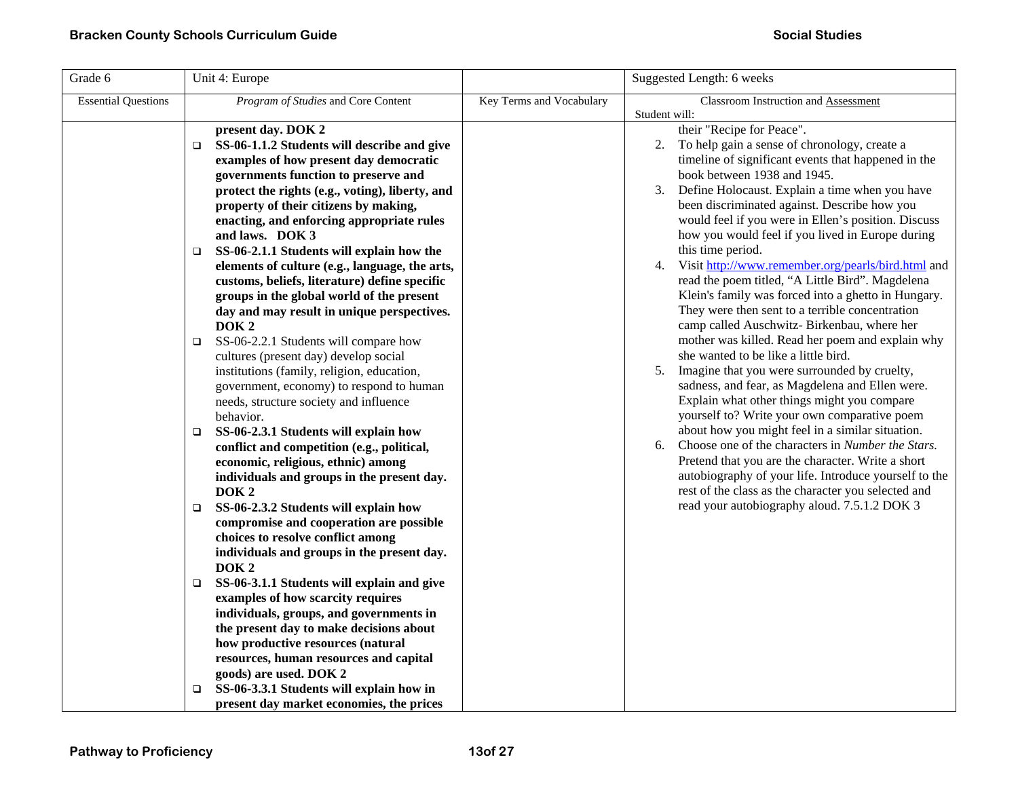| Grade 6                    | Unit 4: Europe                                                                                                                                                                                                                                                                                                                                                                                                                                                                                                                                                                                                                                                                                                                                                                                                                                                                                                                                                                                                                                                                                                                                                                                                                                                                                                                                                                                                                                                                                                                                  |                          | Suggested Length: 6 weeks                                                                                                                                                                                                                                                                                                                                                                                                                                                                                                                                                                                                                                                                                                                                                                                                                                                                                                                                                                                                                                                                                                                                                                                                                                                                                                                       |
|----------------------------|-------------------------------------------------------------------------------------------------------------------------------------------------------------------------------------------------------------------------------------------------------------------------------------------------------------------------------------------------------------------------------------------------------------------------------------------------------------------------------------------------------------------------------------------------------------------------------------------------------------------------------------------------------------------------------------------------------------------------------------------------------------------------------------------------------------------------------------------------------------------------------------------------------------------------------------------------------------------------------------------------------------------------------------------------------------------------------------------------------------------------------------------------------------------------------------------------------------------------------------------------------------------------------------------------------------------------------------------------------------------------------------------------------------------------------------------------------------------------------------------------------------------------------------------------|--------------------------|-------------------------------------------------------------------------------------------------------------------------------------------------------------------------------------------------------------------------------------------------------------------------------------------------------------------------------------------------------------------------------------------------------------------------------------------------------------------------------------------------------------------------------------------------------------------------------------------------------------------------------------------------------------------------------------------------------------------------------------------------------------------------------------------------------------------------------------------------------------------------------------------------------------------------------------------------------------------------------------------------------------------------------------------------------------------------------------------------------------------------------------------------------------------------------------------------------------------------------------------------------------------------------------------------------------------------------------------------|
| <b>Essential Questions</b> | Program of Studies and Core Content                                                                                                                                                                                                                                                                                                                                                                                                                                                                                                                                                                                                                                                                                                                                                                                                                                                                                                                                                                                                                                                                                                                                                                                                                                                                                                                                                                                                                                                                                                             | Key Terms and Vocabulary | Classroom Instruction and Assessment                                                                                                                                                                                                                                                                                                                                                                                                                                                                                                                                                                                                                                                                                                                                                                                                                                                                                                                                                                                                                                                                                                                                                                                                                                                                                                            |
|                            | present day. DOK 2<br>SS-06-1.1.2 Students will describe and give<br>□<br>examples of how present day democratic<br>governments function to preserve and<br>protect the rights (e.g., voting), liberty, and<br>property of their citizens by making,<br>enacting, and enforcing appropriate rules<br>and laws. DOK 3<br>SS-06-2.1.1 Students will explain how the<br>$\Box$<br>elements of culture (e.g., language, the arts,<br>customs, beliefs, literature) define specific<br>groups in the global world of the present<br>day and may result in unique perspectives.<br>DOK <sub>2</sub><br>SS-06-2.2.1 Students will compare how<br>$\Box$<br>cultures (present day) develop social<br>institutions (family, religion, education,<br>government, economy) to respond to human<br>needs, structure society and influence<br>behavior.<br>SS-06-2.3.1 Students will explain how<br>$\Box$<br>conflict and competition (e.g., political,<br>economic, religious, ethnic) among<br>individuals and groups in the present day.<br>DOK <sub>2</sub><br>SS-06-2.3.2 Students will explain how<br>□<br>compromise and cooperation are possible<br>choices to resolve conflict among<br>individuals and groups in the present day.<br>DOK <sub>2</sub><br>SS-06-3.1.1 Students will explain and give<br>$\Box$<br>examples of how scarcity requires<br>individuals, groups, and governments in<br>the present day to make decisions about<br>how productive resources (natural<br>resources, human resources and capital<br>goods) are used. DOK 2 |                          | Student will:<br>their "Recipe for Peace".<br>To help gain a sense of chronology, create a<br>2.<br>timeline of significant events that happened in the<br>book between 1938 and 1945.<br>Define Holocaust. Explain a time when you have<br>3.<br>been discriminated against. Describe how you<br>would feel if you were in Ellen's position. Discuss<br>how you would feel if you lived in Europe during<br>this time period.<br>Visit http://www.remember.org/pearls/bird.html and<br>4.<br>read the poem titled, "A Little Bird". Magdelena<br>Klein's family was forced into a ghetto in Hungary.<br>They were then sent to a terrible concentration<br>camp called Auschwitz- Birkenbau, where her<br>mother was killed. Read her poem and explain why<br>she wanted to be like a little bird.<br>Imagine that you were surrounded by cruelty,<br>5.<br>sadness, and fear, as Magdelena and Ellen were.<br>Explain what other things might you compare<br>yourself to? Write your own comparative poem<br>about how you might feel in a similar situation.<br>Choose one of the characters in Number the Stars.<br>6.<br>Pretend that you are the character. Write a short<br>autobiography of your life. Introduce yourself to the<br>rest of the class as the character you selected and<br>read your autobiography aloud. 7.5.1.2 DOK 3 |
|                            | SS-06-3.3.1 Students will explain how in<br>❏<br>present day market economies, the prices                                                                                                                                                                                                                                                                                                                                                                                                                                                                                                                                                                                                                                                                                                                                                                                                                                                                                                                                                                                                                                                                                                                                                                                                                                                                                                                                                                                                                                                       |                          |                                                                                                                                                                                                                                                                                                                                                                                                                                                                                                                                                                                                                                                                                                                                                                                                                                                                                                                                                                                                                                                                                                                                                                                                                                                                                                                                                 |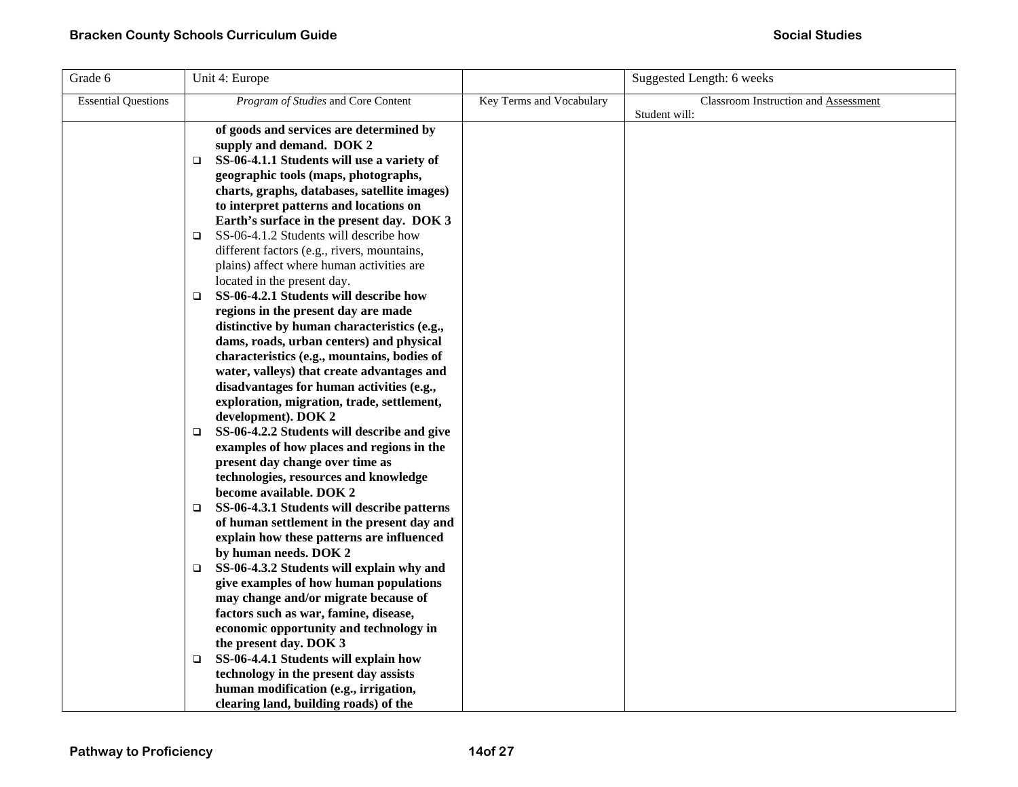| Grade 6                    | Unit 4: Europe                                                                          |                          | Suggested Length: 6 weeks            |
|----------------------------|-----------------------------------------------------------------------------------------|--------------------------|--------------------------------------|
| <b>Essential Questions</b> | Program of Studies and Core Content                                                     | Key Terms and Vocabulary | Classroom Instruction and Assessment |
|                            |                                                                                         |                          | Student will:                        |
|                            | of goods and services are determined by<br>supply and demand. DOK 2                     |                          |                                      |
|                            | SS-06-4.1.1 Students will use a variety of<br>□                                         |                          |                                      |
|                            | geographic tools (maps, photographs,                                                    |                          |                                      |
|                            | charts, graphs, databases, satellite images)                                            |                          |                                      |
|                            | to interpret patterns and locations on                                                  |                          |                                      |
|                            | Earth's surface in the present day. DOK 3                                               |                          |                                      |
|                            | SS-06-4.1.2 Students will describe how<br>$\Box$                                        |                          |                                      |
|                            | different factors (e.g., rivers, mountains,                                             |                          |                                      |
|                            | plains) affect where human activities are                                               |                          |                                      |
|                            | located in the present day.                                                             |                          |                                      |
|                            | SS-06-4.2.1 Students will describe how<br>$\Box$                                        |                          |                                      |
|                            | regions in the present day are made<br>distinctive by human characteristics (e.g.,      |                          |                                      |
|                            | dams, roads, urban centers) and physical                                                |                          |                                      |
|                            | characteristics (e.g., mountains, bodies of                                             |                          |                                      |
|                            | water, valleys) that create advantages and                                              |                          |                                      |
|                            | disadvantages for human activities (e.g.,                                               |                          |                                      |
|                            | exploration, migration, trade, settlement,                                              |                          |                                      |
|                            | development). DOK 2                                                                     |                          |                                      |
|                            | SS-06-4.2.2 Students will describe and give<br>▫                                        |                          |                                      |
|                            | examples of how places and regions in the                                               |                          |                                      |
|                            | present day change over time as                                                         |                          |                                      |
|                            | technologies, resources and knowledge                                                   |                          |                                      |
|                            | become available. DOK 2                                                                 |                          |                                      |
|                            | SS-06-4.3.1 Students will describe patterns<br>$\Box$                                   |                          |                                      |
|                            | of human settlement in the present day and<br>explain how these patterns are influenced |                          |                                      |
|                            | by human needs. DOK 2                                                                   |                          |                                      |
|                            | SS-06-4.3.2 Students will explain why and<br>$\Box$                                     |                          |                                      |
|                            | give examples of how human populations                                                  |                          |                                      |
|                            | may change and/or migrate because of                                                    |                          |                                      |
|                            | factors such as war, famine, disease,                                                   |                          |                                      |
|                            | economic opportunity and technology in                                                  |                          |                                      |
|                            | the present day. DOK 3                                                                  |                          |                                      |
|                            | SS-06-4.4.1 Students will explain how<br>$\Box$                                         |                          |                                      |
|                            | technology in the present day assists                                                   |                          |                                      |
|                            | human modification (e.g., irrigation,                                                   |                          |                                      |
|                            | clearing land, building roads) of the                                                   |                          |                                      |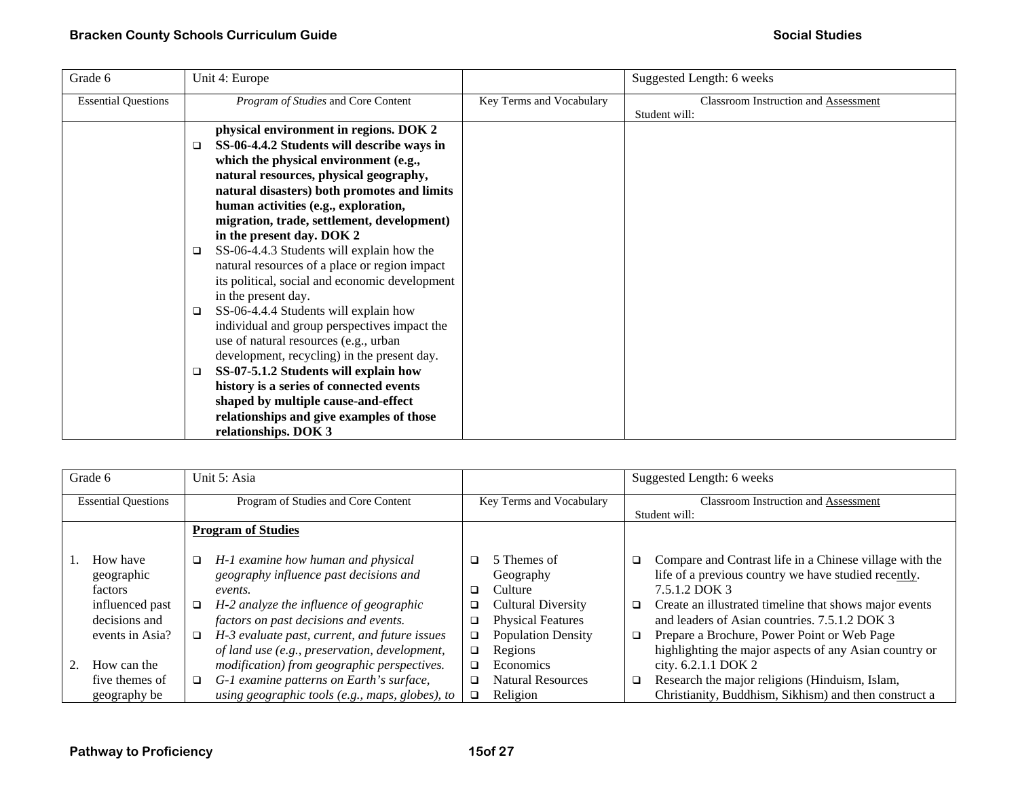| Grade 6                    | Unit 4: Europe                                                                                                                                                                                                                                                                                                                                                                                                                                                                                                                                                                                                                                                                                                                                                                                                                                                                                                                           |                          | Suggested Length: 6 weeks                             |
|----------------------------|------------------------------------------------------------------------------------------------------------------------------------------------------------------------------------------------------------------------------------------------------------------------------------------------------------------------------------------------------------------------------------------------------------------------------------------------------------------------------------------------------------------------------------------------------------------------------------------------------------------------------------------------------------------------------------------------------------------------------------------------------------------------------------------------------------------------------------------------------------------------------------------------------------------------------------------|--------------------------|-------------------------------------------------------|
| <b>Essential Questions</b> | Program of Studies and Core Content                                                                                                                                                                                                                                                                                                                                                                                                                                                                                                                                                                                                                                                                                                                                                                                                                                                                                                      | Key Terms and Vocabulary | Classroom Instruction and Assessment<br>Student will: |
|                            | physical environment in regions. DOK 2<br>SS-06-4.4.2 Students will describe ways in<br>$\Box$<br>which the physical environment (e.g.,<br>natural resources, physical geography,<br>natural disasters) both promotes and limits<br>human activities (e.g., exploration,<br>migration, trade, settlement, development)<br>in the present day. DOK 2<br>SS-06-4.4.3 Students will explain how the<br>$\Box$<br>natural resources of a place or region impact<br>its political, social and economic development<br>in the present day.<br>SS-06-4.4.4 Students will explain how<br>$\Box$<br>individual and group perspectives impact the<br>use of natural resources (e.g., urban<br>development, recycling) in the present day.<br>SS-07-5.1.2 Students will explain how<br>$\Box$<br>history is a series of connected events<br>shaped by multiple cause-and-effect<br>relationships and give examples of those<br>relationships. DOK 3 |                          |                                                       |

|                            | Grade 6                                                                                  |                       | Unit 5: Asia                                                                                                                                                                                                                                                                  |                            |                                                                                                                                      |                                                              | Suggested Length: 6 weeks                                                                                                                                                                                                                                                                                                                            |
|----------------------------|------------------------------------------------------------------------------------------|-----------------------|-------------------------------------------------------------------------------------------------------------------------------------------------------------------------------------------------------------------------------------------------------------------------------|----------------------------|--------------------------------------------------------------------------------------------------------------------------------------|--------------------------------------------------------------|------------------------------------------------------------------------------------------------------------------------------------------------------------------------------------------------------------------------------------------------------------------------------------------------------------------------------------------------------|
| <b>Essential Questions</b> |                                                                                          |                       | Program of Studies and Core Content                                                                                                                                                                                                                                           | Key Terms and Vocabulary   |                                                                                                                                      | <b>Classroom Instruction and Assessment</b><br>Student will: |                                                                                                                                                                                                                                                                                                                                                      |
|                            |                                                                                          |                       | <b>Program of Studies</b>                                                                                                                                                                                                                                                     |                            |                                                                                                                                      |                                                              |                                                                                                                                                                                                                                                                                                                                                      |
|                            | How have<br>geographic<br>factors<br>influenced past<br>decisions and<br>events in Asia? | □<br>$\Box$<br>$\Box$ | H-1 examine how human and physical<br>geography influence past decisions and<br>events.<br>H-2 analyze the influence of geographic<br>factors on past decisions and events.<br>H-3 evaluate past, current, and future issues<br>of land use (e.g., preservation, development, | □<br>◻<br>□<br>□<br>□<br>□ | 5 Themes of<br>Geography<br>Culture<br><b>Cultural Diversity</b><br><b>Physical Features</b><br><b>Population Density</b><br>Regions | □<br>$\Box$<br>$\Box$                                        | Compare and Contrast life in a Chinese village with the<br>life of a previous country we have studied recently.<br>7.5.1.2 DOK 3<br>Create an illustrated timeline that shows major events<br>and leaders of Asian countries, 7.5.1.2 DOK 3<br>Prepare a Brochure, Power Point or Web Page<br>highlighting the major aspects of any Asian country or |
|                            | How can the<br>five themes of                                                            | $\Box$                | modification) from geographic perspectives.<br>G-1 examine patterns on Earth's surface,                                                                                                                                                                                       | □<br>□                     | Economics<br><b>Natural Resources</b>                                                                                                | $\Box$                                                       | city. 6.2.1.1 DOK 2<br>Research the major religions (Hinduism, Islam,                                                                                                                                                                                                                                                                                |
|                            | geography be                                                                             |                       | using geographic tools (e.g., maps, globes), to                                                                                                                                                                                                                               | $\Box$                     | Religion                                                                                                                             |                                                              | Christianity, Buddhism, Sikhism) and then construct a                                                                                                                                                                                                                                                                                                |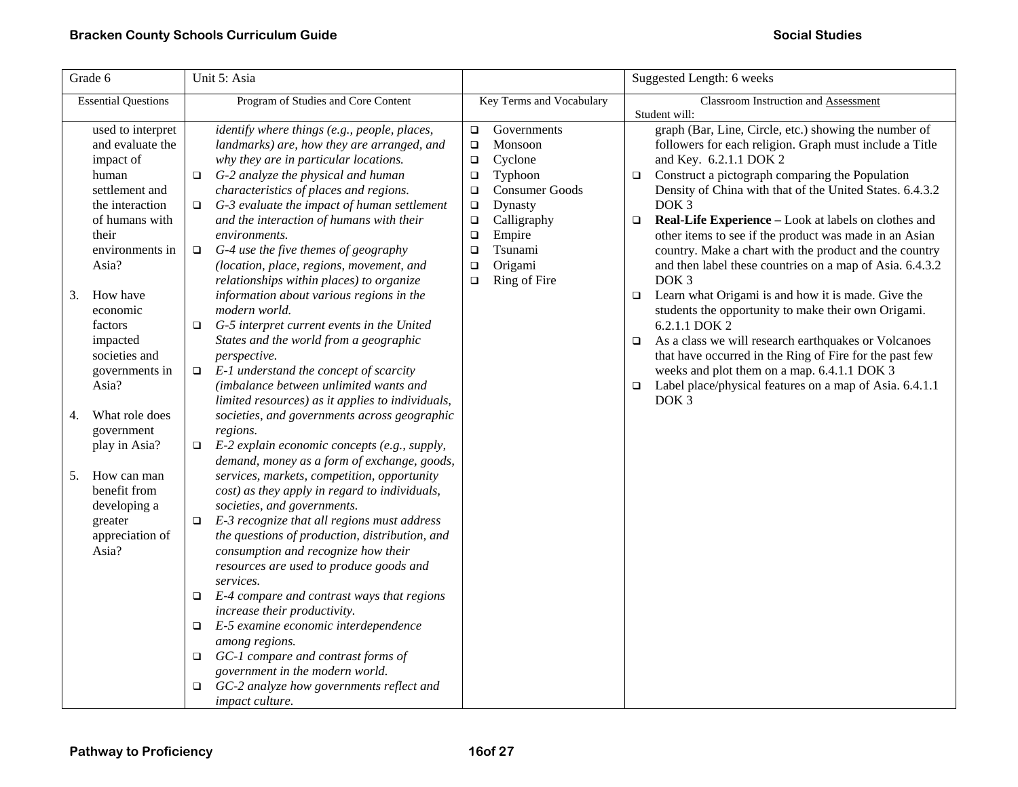| Grade 6                                                                                                                                                                                                                                                  | Unit 5: Asia                                                                                                                                                                                                                                                                                                                                                                                                                                                                                                                                                                                                                                                                                                                                                                                                        |                                                                                                                                                                                                                                                               | Suggested Length: 6 weeks                                                                                                                                                                                                                                                                                                                                                                                                                                                                                                                                                                                                                                                                                                                                                                                                                                                                                                                                                              |  |  |
|----------------------------------------------------------------------------------------------------------------------------------------------------------------------------------------------------------------------------------------------------------|---------------------------------------------------------------------------------------------------------------------------------------------------------------------------------------------------------------------------------------------------------------------------------------------------------------------------------------------------------------------------------------------------------------------------------------------------------------------------------------------------------------------------------------------------------------------------------------------------------------------------------------------------------------------------------------------------------------------------------------------------------------------------------------------------------------------|---------------------------------------------------------------------------------------------------------------------------------------------------------------------------------------------------------------------------------------------------------------|----------------------------------------------------------------------------------------------------------------------------------------------------------------------------------------------------------------------------------------------------------------------------------------------------------------------------------------------------------------------------------------------------------------------------------------------------------------------------------------------------------------------------------------------------------------------------------------------------------------------------------------------------------------------------------------------------------------------------------------------------------------------------------------------------------------------------------------------------------------------------------------------------------------------------------------------------------------------------------------|--|--|
| <b>Essential Questions</b>                                                                                                                                                                                                                               | Program of Studies and Core Content                                                                                                                                                                                                                                                                                                                                                                                                                                                                                                                                                                                                                                                                                                                                                                                 | Key Terms and Vocabulary                                                                                                                                                                                                                                      | Classroom Instruction and Assessment                                                                                                                                                                                                                                                                                                                                                                                                                                                                                                                                                                                                                                                                                                                                                                                                                                                                                                                                                   |  |  |
| used to interpret<br>and evaluate the<br>impact of<br>human<br>settlement and<br>the interaction<br>of humans with<br>their<br>environments in<br>Asia?<br>How have<br>3.<br>economic<br>factors<br>impacted<br>societies and<br>governments in<br>Asia? | identify where things (e.g., people, places,<br>landmarks) are, how they are arranged, and<br>why they are in particular locations.<br>$\Box$ G-2 analyze the physical and human<br>characteristics of places and regions.<br>G-3 evaluate the impact of human settlement<br>□<br>and the interaction of humans with their<br>environments.<br>G-4 use the five themes of geography<br>$\Box$<br>(location, place, regions, movement, and<br>relationships within places) to organize<br>information about various regions in the<br>modern world.<br>G-5 interpret current events in the United<br>$\Box$<br>States and the world from a geographic<br>perspective.<br>$\Box$ E-1 understand the concept of scarcity<br>(imbalance between unlimited wants and<br>limited resources) as it applies to individuals, | Governments<br>$\Box$<br>Monsoon<br>$\Box$<br>Cyclone<br>$\Box$<br>Typhoon<br>$\Box$<br><b>Consumer Goods</b><br>$\Box$<br>Dynasty<br>$\Box$<br>Calligraphy<br>$\Box$<br>Empire<br>$\Box$<br>Tsunami<br>$\Box$<br>Origami<br>$\Box$<br>Ring of Fire<br>$\Box$ | Student will:<br>graph (Bar, Line, Circle, etc.) showing the number of<br>followers for each religion. Graph must include a Title<br>and Key. 6.2.1.1 DOK 2<br>Construct a pictograph comparing the Population<br>$\Box$<br>Density of China with that of the United States. 6.4.3.2<br>DOK <sub>3</sub><br>Real-Life Experience - Look at labels on clothes and<br>$\Box$<br>other items to see if the product was made in an Asian<br>country. Make a chart with the product and the country<br>and then label these countries on a map of Asia. 6.4.3.2<br>DOK <sub>3</sub><br>Learn what Origami is and how it is made. Give the<br>$\Box$<br>students the opportunity to make their own Origami.<br>6.2.1.1 DOK 2<br>As a class we will research earthquakes or Volcanoes<br>□<br>that have occurred in the Ring of Fire for the past few<br>weeks and plot them on a map. 6.4.1.1 DOK 3<br>Label place/physical features on a map of Asia. 6.4.1.1<br>$\Box$<br>DOK <sub>3</sub> |  |  |
| What role does<br>4.<br>government<br>play in Asia?<br>How can man<br>5.<br>benefit from<br>developing a<br>greater<br>appreciation of<br>Asia?                                                                                                          | societies, and governments across geographic<br>regions.<br>E-2 explain economic concepts (e.g., supply,<br>$\Box$<br>demand, money as a form of exchange, goods,<br>services, markets, competition, opportunity<br>cost) as they apply in regard to individuals,<br>societies, and governments.<br>E-3 recognize that all regions must address<br>□<br>the questions of production, distribution, and<br>consumption and recognize how their<br>resources are used to produce goods and<br>services.<br>E-4 compare and contrast ways that regions<br>□<br>increase their productivity.<br>E-5 examine economic interdependence<br>$\Box$<br>among regions.<br>GC-1 compare and contrast forms of<br>□<br>government in the modern world.<br>GC-2 analyze how governments reflect and<br>□<br>impact culture.      |                                                                                                                                                                                                                                                               |                                                                                                                                                                                                                                                                                                                                                                                                                                                                                                                                                                                                                                                                                                                                                                                                                                                                                                                                                                                        |  |  |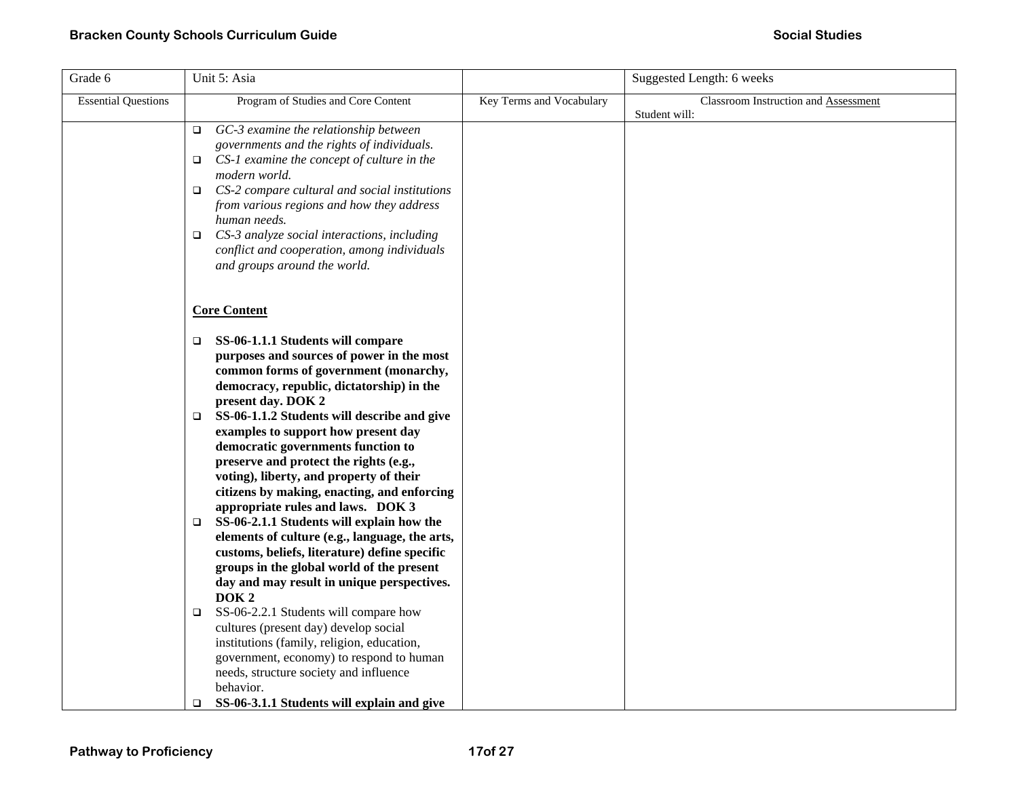| Grade 6                    | Unit 5: Asia                                                                                                                                                                                                                                                                                                                                                                                                                 |                          | Suggested Length: 6 weeks            |
|----------------------------|------------------------------------------------------------------------------------------------------------------------------------------------------------------------------------------------------------------------------------------------------------------------------------------------------------------------------------------------------------------------------------------------------------------------------|--------------------------|--------------------------------------|
| <b>Essential Questions</b> | Program of Studies and Core Content                                                                                                                                                                                                                                                                                                                                                                                          | Key Terms and Vocabulary | Classroom Instruction and Assessment |
|                            | GC-3 examine the relationship between<br>$\Box$<br>governments and the rights of individuals.<br>CS-1 examine the concept of culture in the<br>□<br>modern world.<br>CS-2 compare cultural and social institutions<br>$\Box$<br>from various regions and how they address<br>human needs.<br>CS-3 analyze social interactions, including<br>□<br>conflict and cooperation, among individuals<br>and groups around the world. |                          | Student will:                        |
|                            | <b>Core Content</b>                                                                                                                                                                                                                                                                                                                                                                                                          |                          |                                      |
|                            | SS-06-1.1.1 Students will compare<br>□<br>purposes and sources of power in the most<br>common forms of government (monarchy,<br>democracy, republic, dictatorship) in the<br>present day. DOK 2                                                                                                                                                                                                                              |                          |                                      |
|                            | SS-06-1.1.2 Students will describe and give<br>□<br>examples to support how present day<br>democratic governments function to<br>preserve and protect the rights (e.g.,<br>voting), liberty, and property of their<br>citizens by making, enacting, and enforcing                                                                                                                                                            |                          |                                      |
|                            | appropriate rules and laws. DOK 3<br>SS-06-2.1.1 Students will explain how the<br>$\Box$<br>elements of culture (e.g., language, the arts,<br>customs, beliefs, literature) define specific<br>groups in the global world of the present<br>day and may result in unique perspectives.<br>DOK <sub>2</sub>                                                                                                                   |                          |                                      |
|                            | SS-06-2.2.1 Students will compare how<br>□<br>cultures (present day) develop social<br>institutions (family, religion, education,<br>government, economy) to respond to human<br>needs, structure society and influence<br>behavior.<br>SS-06-3.1.1 Students will explain and give<br>$\Box$                                                                                                                                 |                          |                                      |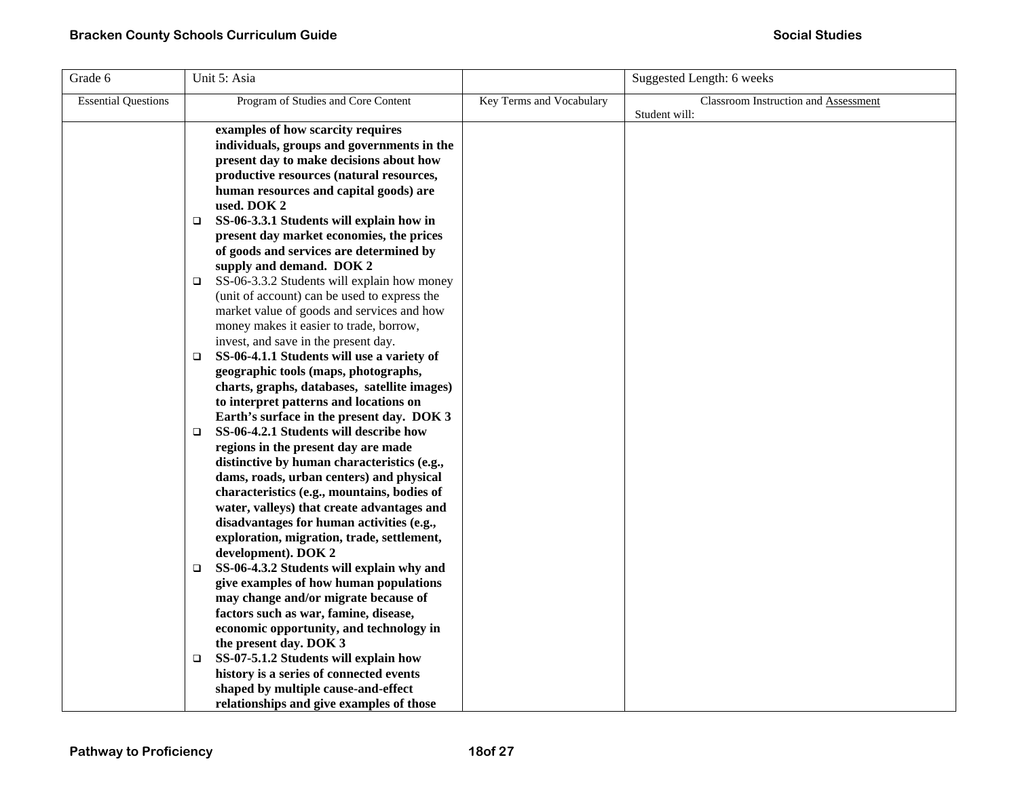| Grade 6                    | Unit 5: Asia                                                                     |                          | Suggested Length: 6 weeks            |
|----------------------------|----------------------------------------------------------------------------------|--------------------------|--------------------------------------|
| <b>Essential Questions</b> | Program of Studies and Core Content                                              | Key Terms and Vocabulary | Classroom Instruction and Assessment |
|                            |                                                                                  |                          | Student will:                        |
|                            | examples of how scarcity requires                                                |                          |                                      |
|                            | individuals, groups and governments in the                                       |                          |                                      |
|                            | present day to make decisions about how                                          |                          |                                      |
|                            | productive resources (natural resources,                                         |                          |                                      |
|                            | human resources and capital goods) are                                           |                          |                                      |
|                            | used. DOK 2<br>SS-06-3.3.1 Students will explain how in                          |                          |                                      |
|                            | $\Box$<br>present day market economies, the prices                               |                          |                                      |
|                            | of goods and services are determined by                                          |                          |                                      |
|                            | supply and demand. DOK 2                                                         |                          |                                      |
|                            | SS-06-3.3.2 Students will explain how money<br>□                                 |                          |                                      |
|                            | (unit of account) can be used to express the                                     |                          |                                      |
|                            | market value of goods and services and how                                       |                          |                                      |
|                            | money makes it easier to trade, borrow,                                          |                          |                                      |
|                            | invest, and save in the present day.                                             |                          |                                      |
|                            | SS-06-4.1.1 Students will use a variety of<br>□                                  |                          |                                      |
|                            | geographic tools (maps, photographs,                                             |                          |                                      |
|                            | charts, graphs, databases, satellite images)                                     |                          |                                      |
|                            | to interpret patterns and locations on                                           |                          |                                      |
|                            | Earth's surface in the present day. DOK 3                                        |                          |                                      |
|                            | SS-06-4.2.1 Students will describe how<br>$\Box$                                 |                          |                                      |
|                            | regions in the present day are made                                              |                          |                                      |
|                            | distinctive by human characteristics (e.g.,                                      |                          |                                      |
|                            | dams, roads, urban centers) and physical                                         |                          |                                      |
|                            | characteristics (e.g., mountains, bodies of                                      |                          |                                      |
|                            | water, valleys) that create advantages and                                       |                          |                                      |
|                            | disadvantages for human activities (e.g.,                                        |                          |                                      |
|                            | exploration, migration, trade, settlement,                                       |                          |                                      |
|                            | development). DOK 2                                                              |                          |                                      |
|                            | SS-06-4.3.2 Students will explain why and<br>□                                   |                          |                                      |
|                            | give examples of how human populations                                           |                          |                                      |
|                            | may change and/or migrate because of                                             |                          |                                      |
|                            | factors such as war, famine, disease,<br>economic opportunity, and technology in |                          |                                      |
|                            | the present day. DOK 3                                                           |                          |                                      |
|                            | SS-07-5.1.2 Students will explain how<br>❏                                       |                          |                                      |
|                            | history is a series of connected events                                          |                          |                                      |
|                            | shaped by multiple cause-and-effect                                              |                          |                                      |
|                            | relationships and give examples of those                                         |                          |                                      |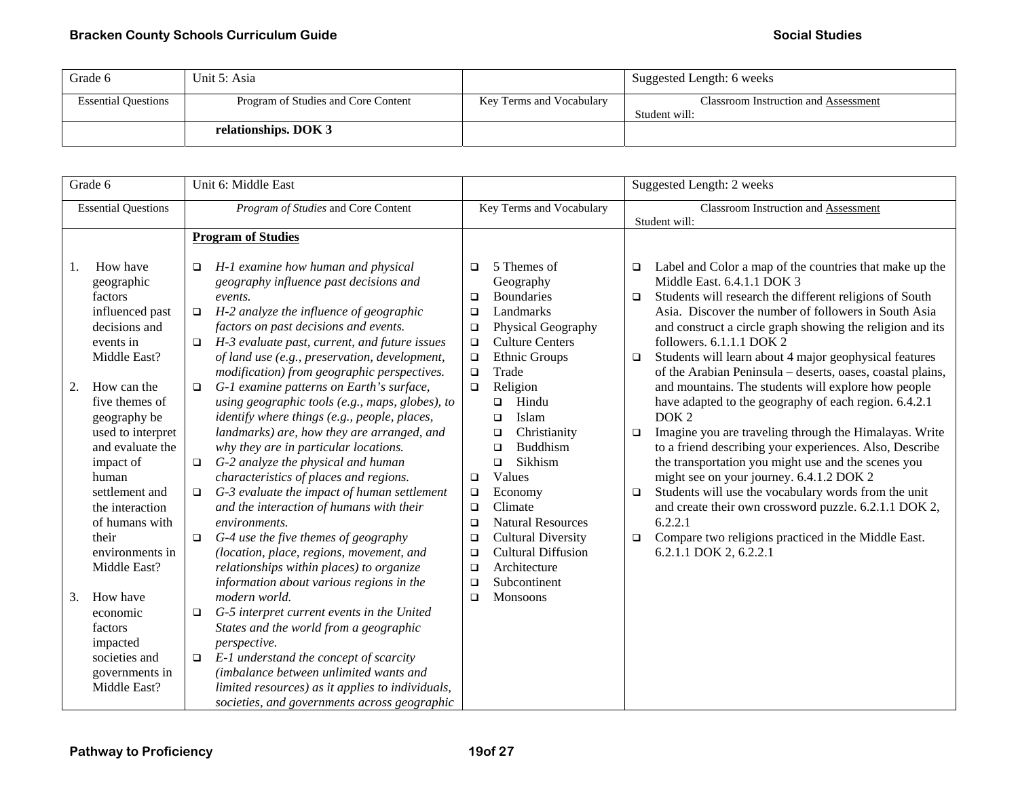| Grade 6                    | Unit 5: Asia                        |                          | Suggested Length: 6 weeks                             |
|----------------------------|-------------------------------------|--------------------------|-------------------------------------------------------|
| <b>Essential Questions</b> | Program of Studies and Core Content | Key Terms and Vocabulary | Classroom Instruction and Assessment<br>Student will: |
|                            | relationships. DOK 3                |                          |                                                       |

| Grade 6  |                                                                                                                                                                                                  |                                 | Unit 6: Middle East                                                                                                                                                                                                                                                                                                                                                                                                                                                                                                |                                                                              |                                                                                                                                                                                                                                                            | Suggested Length: 2 weeks                                    |                                                                                                                                                                                                                                                                                                                                                                                                                                                                                                                |  |
|----------|--------------------------------------------------------------------------------------------------------------------------------------------------------------------------------------------------|---------------------------------|--------------------------------------------------------------------------------------------------------------------------------------------------------------------------------------------------------------------------------------------------------------------------------------------------------------------------------------------------------------------------------------------------------------------------------------------------------------------------------------------------------------------|------------------------------------------------------------------------------|------------------------------------------------------------------------------------------------------------------------------------------------------------------------------------------------------------------------------------------------------------|--------------------------------------------------------------|----------------------------------------------------------------------------------------------------------------------------------------------------------------------------------------------------------------------------------------------------------------------------------------------------------------------------------------------------------------------------------------------------------------------------------------------------------------------------------------------------------------|--|
|          | <b>Essential Questions</b>                                                                                                                                                                       |                                 | Program of Studies and Core Content                                                                                                                                                                                                                                                                                                                                                                                                                                                                                | Key Terms and Vocabulary                                                     |                                                                                                                                                                                                                                                            | <b>Classroom Instruction and Assessment</b><br>Student will: |                                                                                                                                                                                                                                                                                                                                                                                                                                                                                                                |  |
|          |                                                                                                                                                                                                  |                                 | <b>Program of Studies</b>                                                                                                                                                                                                                                                                                                                                                                                                                                                                                          |                                                                              |                                                                                                                                                                                                                                                            |                                                              |                                                                                                                                                                                                                                                                                                                                                                                                                                                                                                                |  |
| 1.<br>2. | How have<br>geographic<br>factors<br>influenced past<br>decisions and<br>events in<br>Middle East?<br>How can the                                                                                | □<br>$\Box$<br>$\Box$<br>$\Box$ | H-1 examine how human and physical<br>geography influence past decisions and<br>events.<br>H-2 analyze the influence of geographic<br>factors on past decisions and events.<br>H-3 evaluate past, current, and future issues<br>of land use (e.g., preservation, development,<br>modification) from geographic perspectives.<br>G-1 examine patterns on Earth's surface,                                                                                                                                           | $\Box$<br>$\Box$<br>$\Box$<br>$\Box$<br>$\Box$<br>$\Box$<br>$\Box$<br>$\Box$ | 5 Themes of<br>Geography<br><b>Boundaries</b><br>Landmarks<br>Physical Geography<br><b>Culture Centers</b><br>Ethnic Groups<br>Trade<br>Religion                                                                                                           | □<br>$\Box$<br>$\Box$                                        | Label and Color a map of the countries that make up the<br>Middle East. 6.4.1.1 DOK 3<br>Students will research the different religions of South<br>Asia. Discover the number of followers in South Asia<br>and construct a circle graph showing the religion and its<br>followers. 6.1.1.1 DOK 2<br>Students will learn about 4 major geophysical features<br>of the Arabian Peninsula - deserts, oases, coastal plains,<br>and mountains. The students will explore how people                               |  |
|          | five themes of<br>geography be<br>used to interpret<br>and evaluate the<br>impact of<br>human<br>settlement and<br>the interaction<br>of humans with<br>their<br>environments in<br>Middle East? | □<br>$\Box$<br>$\Box$           | using geographic tools (e.g., maps, globes), to<br>identify where things (e.g., people, places,<br>landmarks) are, how they are arranged, and<br>why they are in particular locations.<br>G-2 analyze the physical and human<br>characteristics of places and regions.<br>G-3 evaluate the impact of human settlement<br>and the interaction of humans with their<br>environments.<br>G-4 use the five themes of geography<br>(location, place, regions, movement, and<br>relationships within places) to organize | $\Box$<br>$\Box$<br>$\Box$<br>$\Box$<br>$\Box$<br>$\Box$<br>$\Box$           | Hindu<br>$\Box$<br>Islam<br>$\Box$<br>Christianity<br>$\Box$<br><b>Buddhism</b><br>□<br>Sikhism<br>▫<br>Values<br>Economy<br>Climate<br><b>Natural Resources</b><br><b>Cultural Diversity</b><br><b>Cultural Diffusion</b><br>Architecture<br>Subcontinent | $\Box$<br>$\Box$<br>$\Box$                                   | have adapted to the geography of each region. 6.4.2.1<br>DOK <sub>2</sub><br>Imagine you are traveling through the Himalayas. Write<br>to a friend describing your experiences. Also, Describe<br>the transportation you might use and the scenes you<br>might see on your journey. 6.4.1.2 DOK 2<br>Students will use the vocabulary words from the unit<br>and create their own crossword puzzle. 6.2.1.1 DOK 2,<br>6.2.2.1<br>Compare two religions practiced in the Middle East.<br>6.2.1.1 DOK 2, 6.2.2.1 |  |
| 3.       | How have<br>economic<br>factors<br>impacted<br>societies and<br>governments in<br>Middle East?                                                                                                   | $\Box$<br>$\Box$                | information about various regions in the<br>modern world.<br>G-5 interpret current events in the United<br>States and the world from a geographic<br>perspective.<br>E-1 understand the concept of scarcity<br>(imbalance between unlimited wants and<br>limited resources) as it applies to individuals,<br>societies, and governments across geographic                                                                                                                                                          | $\Box$<br>$\Box$                                                             | Monsoons                                                                                                                                                                                                                                                   |                                                              |                                                                                                                                                                                                                                                                                                                                                                                                                                                                                                                |  |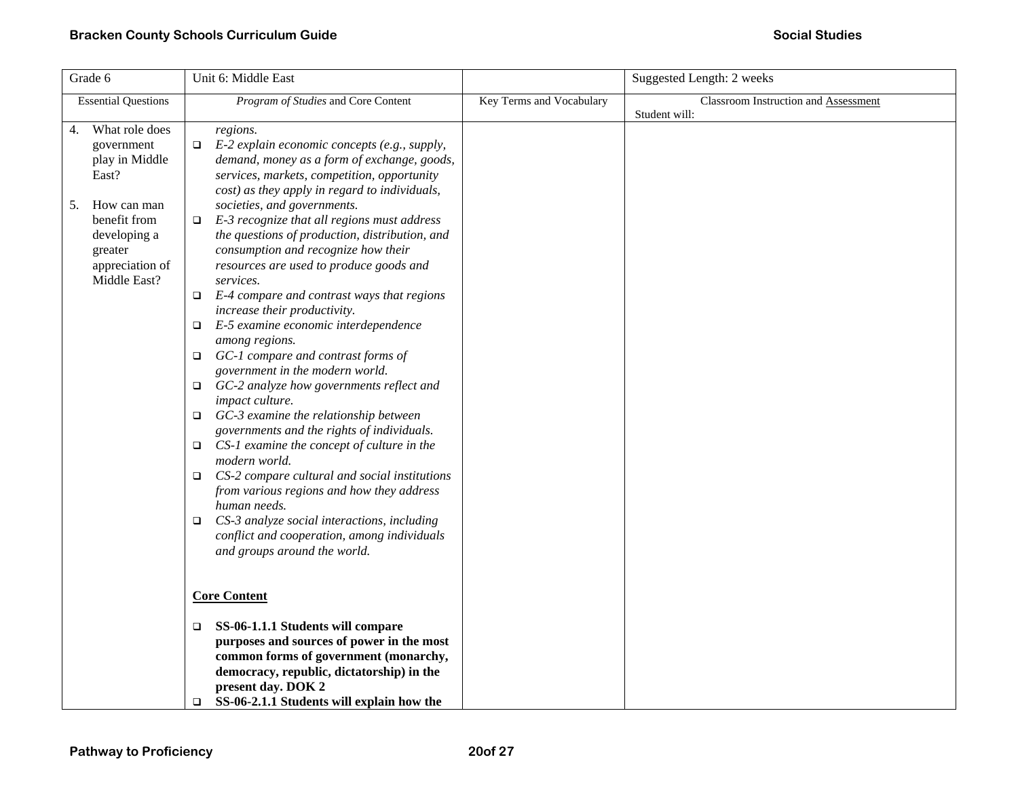| Grade 6                                                                                                                                                          | Unit 6: Middle East                                                                                                                                                                                                                                                                                                                                                                                                                                                                                                                                                                                                                                                                                                                                                                                                                                                                                                                                                                                                                                                                                                                                                                                 |                          | Suggested Length: 2 weeks                             |
|------------------------------------------------------------------------------------------------------------------------------------------------------------------|-----------------------------------------------------------------------------------------------------------------------------------------------------------------------------------------------------------------------------------------------------------------------------------------------------------------------------------------------------------------------------------------------------------------------------------------------------------------------------------------------------------------------------------------------------------------------------------------------------------------------------------------------------------------------------------------------------------------------------------------------------------------------------------------------------------------------------------------------------------------------------------------------------------------------------------------------------------------------------------------------------------------------------------------------------------------------------------------------------------------------------------------------------------------------------------------------------|--------------------------|-------------------------------------------------------|
| <b>Essential Questions</b>                                                                                                                                       | Program of Studies and Core Content                                                                                                                                                                                                                                                                                                                                                                                                                                                                                                                                                                                                                                                                                                                                                                                                                                                                                                                                                                                                                                                                                                                                                                 | Key Terms and Vocabulary | Classroom Instruction and Assessment<br>Student will: |
| What role does<br>4.<br>government<br>play in Middle<br>East?<br>How can man<br>5.<br>benefit from<br>developing a<br>greater<br>appreciation of<br>Middle East? | regions.<br>E-2 explain economic concepts (e.g., supply,<br>$\Box$<br>demand, money as a form of exchange, goods,<br>services, markets, competition, opportunity<br>cost) as they apply in regard to individuals,<br>societies, and governments.<br>E-3 recognize that all regions must address<br>$\Box$<br>the questions of production, distribution, and<br>consumption and recognize how their<br>resources are used to produce goods and<br>services.<br>$\Box$ E-4 compare and contrast ways that regions<br>increase their productivity.<br>E-5 examine economic interdependence<br>$\Box$<br>among regions.<br>$\Box$ GC-1 compare and contrast forms of<br>government in the modern world.<br>GC-2 analyze how governments reflect and<br>$\Box$<br>impact culture.<br>$\Box$ GC-3 examine the relationship between<br>governments and the rights of individuals.<br>$\Box$ CS-1 examine the concept of culture in the<br>modern world.<br>$\Box$ CS-2 compare cultural and social institutions<br>from various regions and how they address<br>human needs.<br>CS-3 analyze social interactions, including<br>conflict and cooperation, among individuals<br>and groups around the world. |                          |                                                       |
|                                                                                                                                                                  | <b>Core Content</b>                                                                                                                                                                                                                                                                                                                                                                                                                                                                                                                                                                                                                                                                                                                                                                                                                                                                                                                                                                                                                                                                                                                                                                                 |                          |                                                       |
|                                                                                                                                                                  | SS-06-1.1.1 Students will compare<br>$\Box$<br>purposes and sources of power in the most                                                                                                                                                                                                                                                                                                                                                                                                                                                                                                                                                                                                                                                                                                                                                                                                                                                                                                                                                                                                                                                                                                            |                          |                                                       |
|                                                                                                                                                                  | common forms of government (monarchy,                                                                                                                                                                                                                                                                                                                                                                                                                                                                                                                                                                                                                                                                                                                                                                                                                                                                                                                                                                                                                                                                                                                                                               |                          |                                                       |
|                                                                                                                                                                  | democracy, republic, dictatorship) in the                                                                                                                                                                                                                                                                                                                                                                                                                                                                                                                                                                                                                                                                                                                                                                                                                                                                                                                                                                                                                                                                                                                                                           |                          |                                                       |
|                                                                                                                                                                  | present day. DOK 2                                                                                                                                                                                                                                                                                                                                                                                                                                                                                                                                                                                                                                                                                                                                                                                                                                                                                                                                                                                                                                                                                                                                                                                  |                          |                                                       |
|                                                                                                                                                                  | SS-06-2.1.1 Students will explain how the<br>□                                                                                                                                                                                                                                                                                                                                                                                                                                                                                                                                                                                                                                                                                                                                                                                                                                                                                                                                                                                                                                                                                                                                                      |                          |                                                       |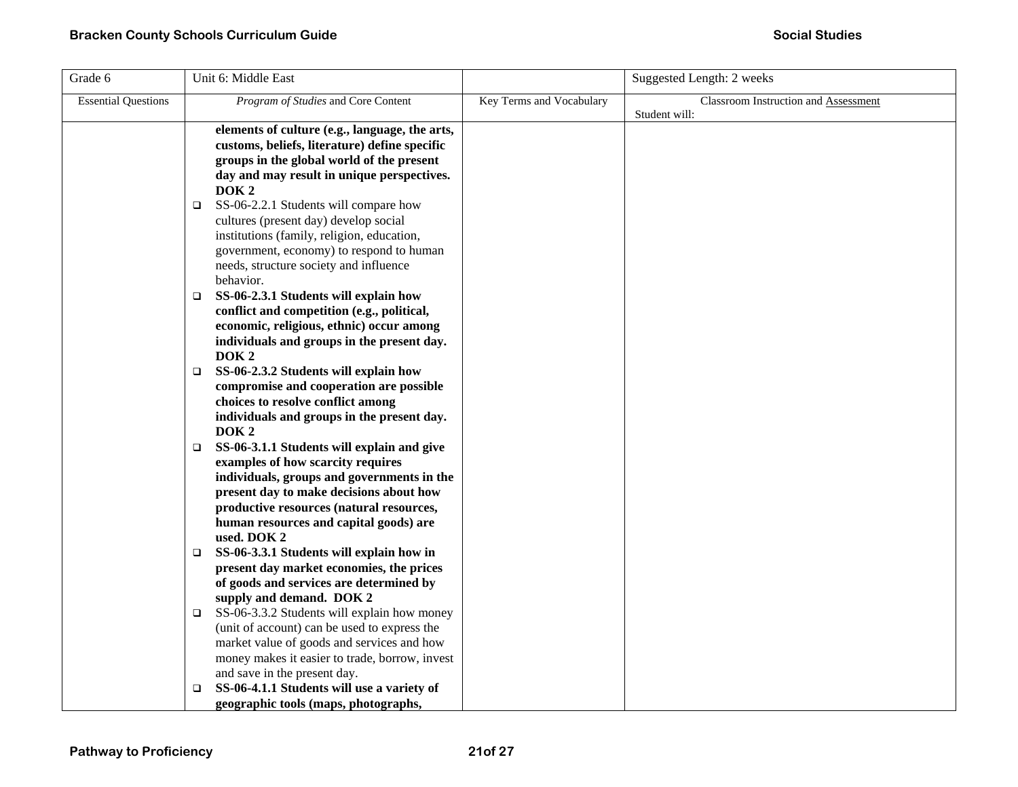| Grade 6                    | Unit 6: Middle East                                  |                          | Suggested Length: 2 weeks            |
|----------------------------|------------------------------------------------------|--------------------------|--------------------------------------|
| <b>Essential Questions</b> | Program of Studies and Core Content                  | Key Terms and Vocabulary | Classroom Instruction and Assessment |
|                            |                                                      |                          | Student will:                        |
|                            | elements of culture (e.g., language, the arts,       |                          |                                      |
|                            | customs, beliefs, literature) define specific        |                          |                                      |
|                            | groups in the global world of the present            |                          |                                      |
|                            | day and may result in unique perspectives.           |                          |                                      |
|                            | DOK <sub>2</sub>                                     |                          |                                      |
|                            | SS-06-2.2.1 Students will compare how<br>□           |                          |                                      |
|                            | cultures (present day) develop social                |                          |                                      |
|                            | institutions (family, religion, education,           |                          |                                      |
|                            | government, economy) to respond to human             |                          |                                      |
|                            | needs, structure society and influence               |                          |                                      |
|                            | behavior.                                            |                          |                                      |
|                            | SS-06-2.3.1 Students will explain how<br>□           |                          |                                      |
|                            | conflict and competition (e.g., political,           |                          |                                      |
|                            | economic, religious, ethnic) occur among             |                          |                                      |
|                            | individuals and groups in the present day.           |                          |                                      |
|                            | DOK <sub>2</sub>                                     |                          |                                      |
|                            | SS-06-2.3.2 Students will explain how<br>$\Box$      |                          |                                      |
|                            | compromise and cooperation are possible              |                          |                                      |
|                            | choices to resolve conflict among                    |                          |                                      |
|                            | individuals and groups in the present day.           |                          |                                      |
|                            | DOK <sub>2</sub>                                     |                          |                                      |
|                            | SS-06-3.1.1 Students will explain and give<br>$\Box$ |                          |                                      |
|                            | examples of how scarcity requires                    |                          |                                      |
|                            | individuals, groups and governments in the           |                          |                                      |
|                            | present day to make decisions about how              |                          |                                      |
|                            | productive resources (natural resources,             |                          |                                      |
|                            | human resources and capital goods) are               |                          |                                      |
|                            | used. DOK 2                                          |                          |                                      |
|                            | SS-06-3.3.1 Students will explain how in<br>□        |                          |                                      |
|                            | present day market economies, the prices             |                          |                                      |
|                            | of goods and services are determined by              |                          |                                      |
|                            | supply and demand. DOK 2                             |                          |                                      |
|                            | SS-06-3.3.2 Students will explain how money<br>□     |                          |                                      |
|                            | (unit of account) can be used to express the         |                          |                                      |
|                            | market value of goods and services and how           |                          |                                      |
|                            | money makes it easier to trade, borrow, invest       |                          |                                      |
|                            | and save in the present day.                         |                          |                                      |
|                            | SS-06-4.1.1 Students will use a variety of<br>□      |                          |                                      |
|                            | geographic tools (maps, photographs,                 |                          |                                      |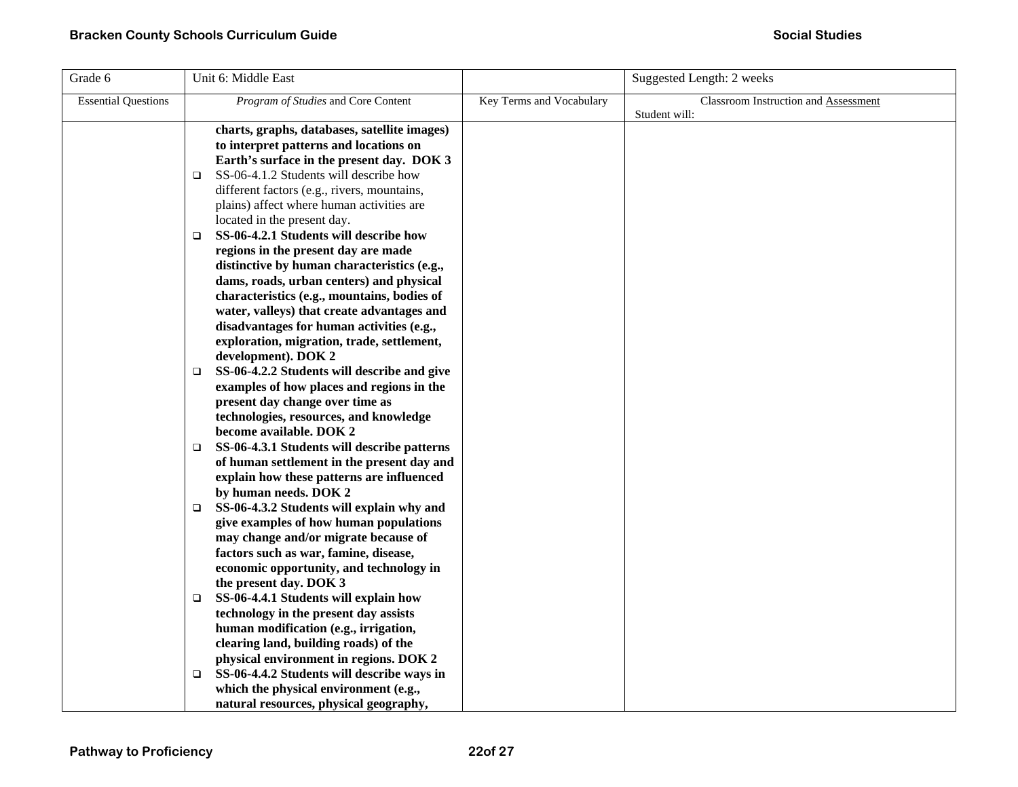| Grade 6                    | Unit 6: Middle East                                                                                                                                                                                                                                                                                                                                                                                                                                                                                                                                                                                                                                                                                                                                                                                                                                                                                                                                                                                                                                                                                                                                                                                                                          |                          | Suggested Length: 2 weeks            |
|----------------------------|----------------------------------------------------------------------------------------------------------------------------------------------------------------------------------------------------------------------------------------------------------------------------------------------------------------------------------------------------------------------------------------------------------------------------------------------------------------------------------------------------------------------------------------------------------------------------------------------------------------------------------------------------------------------------------------------------------------------------------------------------------------------------------------------------------------------------------------------------------------------------------------------------------------------------------------------------------------------------------------------------------------------------------------------------------------------------------------------------------------------------------------------------------------------------------------------------------------------------------------------|--------------------------|--------------------------------------|
| <b>Essential Questions</b> | Program of Studies and Core Content                                                                                                                                                                                                                                                                                                                                                                                                                                                                                                                                                                                                                                                                                                                                                                                                                                                                                                                                                                                                                                                                                                                                                                                                          | Key Terms and Vocabulary | Classroom Instruction and Assessment |
|                            | charts, graphs, databases, satellite images)<br>to interpret patterns and locations on<br>Earth's surface in the present day. DOK 3<br>SS-06-4.1.2 Students will describe how<br>□<br>different factors (e.g., rivers, mountains,<br>plains) affect where human activities are<br>located in the present day.<br>SS-06-4.2.1 Students will describe how<br>□<br>regions in the present day are made<br>distinctive by human characteristics (e.g.,<br>dams, roads, urban centers) and physical<br>characteristics (e.g., mountains, bodies of<br>water, valleys) that create advantages and<br>disadvantages for human activities (e.g.,<br>exploration, migration, trade, settlement,<br>development). DOK 2<br>SS-06-4.2.2 Students will describe and give<br>$\Box$<br>examples of how places and regions in the<br>present day change over time as<br>technologies, resources, and knowledge<br>become available. DOK 2<br>SS-06-4.3.1 Students will describe patterns<br>□<br>of human settlement in the present day and<br>explain how these patterns are influenced<br>by human needs. DOK 2<br>SS-06-4.3.2 Students will explain why and<br>$\Box$<br>give examples of how human populations<br>may change and/or migrate because of |                          | Student will:                        |
|                            | factors such as war, famine, disease,<br>economic opportunity, and technology in<br>the present day. DOK 3<br>SS-06-4.4.1 Students will explain how<br>□<br>technology in the present day assists<br>human modification (e.g., irrigation,<br>clearing land, building roads) of the<br>physical environment in regions. DOK 2<br>SS-06-4.4.2 Students will describe ways in<br>□<br>which the physical environment (e.g.,<br>natural resources, physical geography,                                                                                                                                                                                                                                                                                                                                                                                                                                                                                                                                                                                                                                                                                                                                                                          |                          |                                      |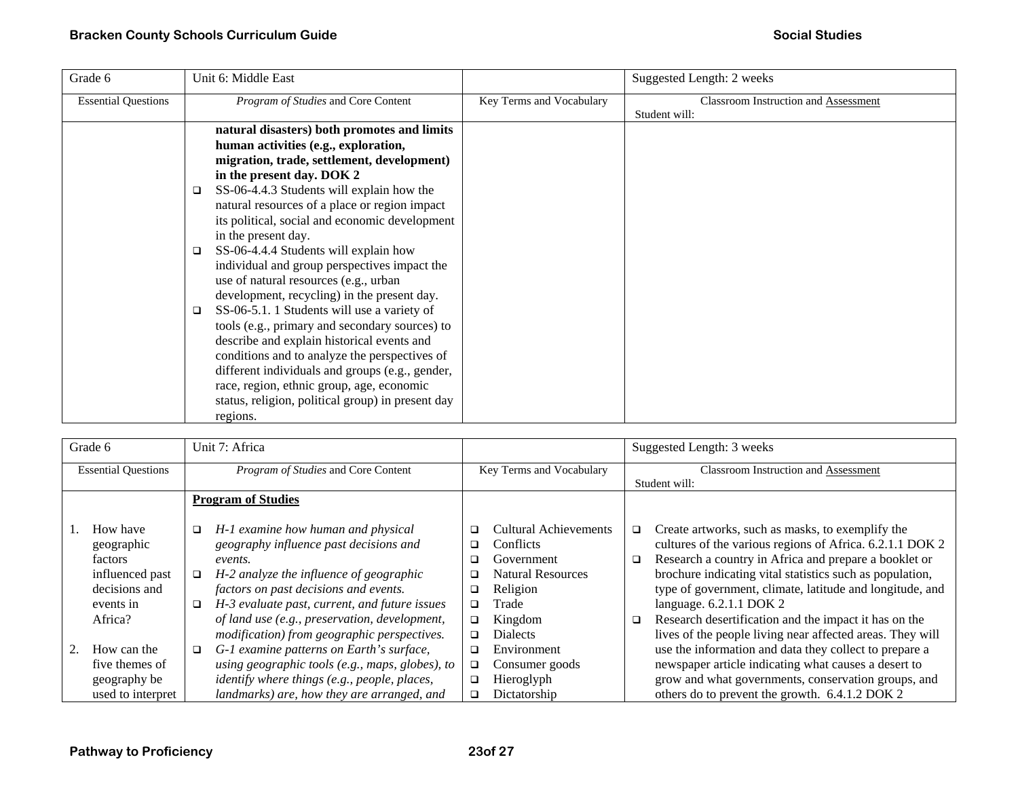| Grade 6                    | Unit 6: Middle East                                                                                                                                                                                                                                                                                                                                                                                                                                                                                                                                                                                                                                                                                                                                                                                                                                                                                         |                          | Suggested Length: 2 weeks                             |
|----------------------------|-------------------------------------------------------------------------------------------------------------------------------------------------------------------------------------------------------------------------------------------------------------------------------------------------------------------------------------------------------------------------------------------------------------------------------------------------------------------------------------------------------------------------------------------------------------------------------------------------------------------------------------------------------------------------------------------------------------------------------------------------------------------------------------------------------------------------------------------------------------------------------------------------------------|--------------------------|-------------------------------------------------------|
| <b>Essential Questions</b> | Program of Studies and Core Content                                                                                                                                                                                                                                                                                                                                                                                                                                                                                                                                                                                                                                                                                                                                                                                                                                                                         | Key Terms and Vocabulary | Classroom Instruction and Assessment<br>Student will: |
|                            | natural disasters) both promotes and limits<br>human activities (e.g., exploration,<br>migration, trade, settlement, development)<br>in the present day. DOK 2<br>SS-06-4.4.3 Students will explain how the<br>$\Box$<br>natural resources of a place or region impact<br>its political, social and economic development<br>in the present day.<br>SS-06-4.4.4 Students will explain how<br>□<br>individual and group perspectives impact the<br>use of natural resources (e.g., urban<br>development, recycling) in the present day.<br>SS-06-5.1. 1 Students will use a variety of<br>□<br>tools (e.g., primary and secondary sources) to<br>describe and explain historical events and<br>conditions and to analyze the perspectives of<br>different individuals and groups (e.g., gender,<br>race, region, ethnic group, age, economic<br>status, religion, political group) in present day<br>regions. |                          |                                                       |

| Grade 6                    |                   |                           | Unit 7: Africa                                      |                          |                          |                                             | Suggested Length: 3 weeks                                 |  |
|----------------------------|-------------------|---------------------------|-----------------------------------------------------|--------------------------|--------------------------|---------------------------------------------|-----------------------------------------------------------|--|
| <b>Essential Questions</b> |                   |                           | <i>Program of Studies</i> and Core Content          | Key Terms and Vocabulary |                          | <b>Classroom Instruction and Assessment</b> |                                                           |  |
|                            |                   |                           |                                                     |                          |                          |                                             | Student will:                                             |  |
|                            |                   | <b>Program of Studies</b> |                                                     |                          |                          |                                             |                                                           |  |
|                            |                   |                           |                                                     |                          |                          |                                             |                                                           |  |
|                            | How have          | □                         | H-1 examine how human and physical                  | □                        | Cultural Achievements    | □                                           | Create artworks, such as masks, to exemplify the          |  |
|                            | geographic        |                           | geography influence past decisions and              | □                        | Conflicts                |                                             | cultures of the various regions of Africa. 6.2.1.1 DOK 2  |  |
|                            | factors           |                           | events.                                             | □                        | Government               | ❏                                           | Research a country in Africa and prepare a booklet or     |  |
|                            | influenced past   | □                         | H-2 analyze the influence of geographic             | ◻                        | <b>Natural Resources</b> |                                             | brochure indicating vital statistics such as population,  |  |
|                            | decisions and     |                           | factors on past decisions and events.               | ❏                        | Religion                 |                                             | type of government, climate, latitude and longitude, and  |  |
|                            | events in         | □                         | H-3 evaluate past, current, and future issues       | $\Box$                   | Trade                    |                                             | language. 6.2.1.1 DOK 2                                   |  |
|                            | Africa?           |                           | of land use (e.g., preservation, development,       | O.                       | Kingdom                  | □                                           | Research desertification and the impact it has on the     |  |
|                            |                   |                           | modification) from geographic perspectives.         | □                        | <b>Dialects</b>          |                                             | lives of the people living near affected areas. They will |  |
| 2.                         | How can the       | □                         | G-1 examine patterns on Earth's surface,            | ◻                        | Environment              |                                             | use the information and data they collect to prepare a    |  |
|                            | five themes of    |                           | using geographic tools (e.g., maps, globes), to     | $\Box$                   | Consumer goods           |                                             | newspaper article indicating what causes a desert to      |  |
|                            | geography be      |                           | <i>identify where things (e.g., people, places,</i> | $\Box$                   | Hieroglyph               |                                             | grow and what governments, conservation groups, and       |  |
|                            | used to interpret |                           | landmarks) are, how they are arranged, and          | □                        | Dictatorship             |                                             | others do to prevent the growth. 6.4.1.2 DOK 2            |  |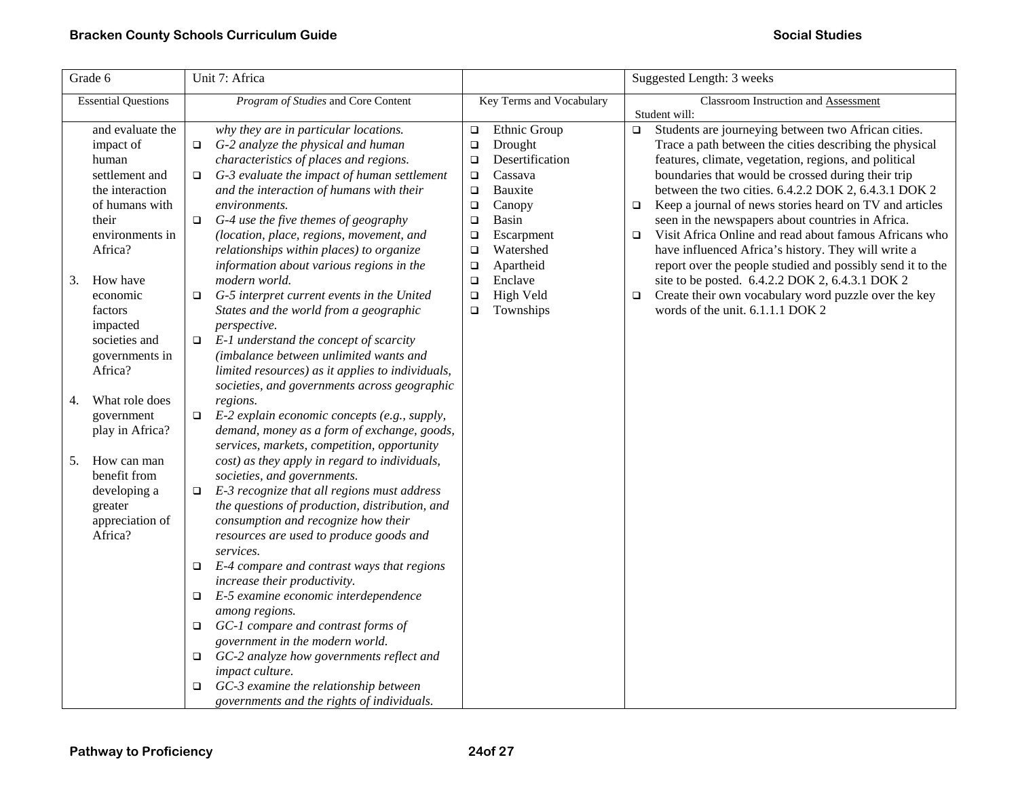| Grade 6                                                                                                                                                                                                                                 | Unit 7: Africa                                                                                                                                                                                                                                                                                                                                                                                                                                                                                                                                                                                                                                                                                                                                                                                                                                           |                                                                                                                                                                                                                                                                                                    | Suggested Length: 3 weeks                                                                                                                                                                                                                                                                                                                                                                                                                                                                                                                                                                                                                                                                                                                                                   |
|-----------------------------------------------------------------------------------------------------------------------------------------------------------------------------------------------------------------------------------------|----------------------------------------------------------------------------------------------------------------------------------------------------------------------------------------------------------------------------------------------------------------------------------------------------------------------------------------------------------------------------------------------------------------------------------------------------------------------------------------------------------------------------------------------------------------------------------------------------------------------------------------------------------------------------------------------------------------------------------------------------------------------------------------------------------------------------------------------------------|----------------------------------------------------------------------------------------------------------------------------------------------------------------------------------------------------------------------------------------------------------------------------------------------------|-----------------------------------------------------------------------------------------------------------------------------------------------------------------------------------------------------------------------------------------------------------------------------------------------------------------------------------------------------------------------------------------------------------------------------------------------------------------------------------------------------------------------------------------------------------------------------------------------------------------------------------------------------------------------------------------------------------------------------------------------------------------------------|
| <b>Essential Questions</b>                                                                                                                                                                                                              | Program of Studies and Core Content                                                                                                                                                                                                                                                                                                                                                                                                                                                                                                                                                                                                                                                                                                                                                                                                                      | Key Terms and Vocabulary                                                                                                                                                                                                                                                                           | Classroom Instruction and Assessment<br>Student will:                                                                                                                                                                                                                                                                                                                                                                                                                                                                                                                                                                                                                                                                                                                       |
| and evaluate the<br>impact of<br>human<br>settlement and<br>the interaction<br>of humans with<br>their<br>environments in<br>Africa?<br>How have<br>3.<br>economic<br>factors<br>impacted<br>societies and<br>governments in<br>Africa? | why they are in particular locations.<br>G-2 analyze the physical and human<br>$\Box$<br>characteristics of places and regions.<br>$\Box$ G-3 evaluate the impact of human settlement<br>and the interaction of humans with their<br>environments.<br>G-4 use the five themes of geography<br>$\Box$<br>(location, place, regions, movement, and<br>relationships within places) to organize<br>information about various regions in the<br>modern world.<br>G-5 interpret current events in the United<br>$\Box$<br>States and the world from a geographic<br>perspective.<br>E-1 understand the concept of scarcity<br>$\Box$<br>(imbalance between unlimited wants and<br>limited resources) as it applies to individuals,                                                                                                                            | Ethnic Group<br>$\Box$<br>Drought<br>$\Box$<br>Desertification<br>$\Box$<br>Cassava<br>$\Box$<br>Bauxite<br>$\Box$<br>Canopy<br>$\Box$<br>Basin<br>$\Box$<br>Escarpment<br>$\Box$<br>Watershed<br>$\Box$<br>Apartheid<br>$\Box$<br>Enclave<br>$\Box$<br>High Veld<br>$\Box$<br>Townships<br>$\Box$ | Students are journeying between two African cities.<br>$\Box$<br>Trace a path between the cities describing the physical<br>features, climate, vegetation, regions, and political<br>boundaries that would be crossed during their trip<br>between the two cities. 6.4.2.2 DOK 2, 6.4.3.1 DOK 2<br>Keep a journal of news stories heard on TV and articles<br>$\Box$<br>seen in the newspapers about countries in Africa.<br>Visit Africa Online and read about famous Africans who<br>$\Box$<br>have influenced Africa's history. They will write a<br>report over the people studied and possibly send it to the<br>site to be posted. 6.4.2.2 DOK 2, 6.4.3.1 DOK 2<br>Create their own vocabulary word puzzle over the key<br>$\Box$<br>words of the unit. 6.1.1.1 DOK 2 |
| What role does<br>4.<br>government<br>play in Africa?<br>How can man<br>5.<br>benefit from<br>developing a<br>greater<br>appreciation of<br>Africa?                                                                                     | societies, and governments across geographic<br>regions.<br>E-2 explain economic concepts (e.g., supply,<br>$\Box$<br>demand, money as a form of exchange, goods,<br>services, markets, competition, opportunity<br>cost) as they apply in regard to individuals,<br>societies, and governments.<br>E-3 recognize that all regions must address<br>$\Box$<br>the questions of production, distribution, and<br>consumption and recognize how their<br>resources are used to produce goods and<br>services.<br>E-4 compare and contrast ways that regions<br>increase their productivity.<br>E-5 examine economic interdependence<br>$\Box$<br>among regions.<br>GC-1 compare and contrast forms of<br>O.<br>government in the modern world.<br>GC-2 analyze how governments reflect and<br>impact culture.<br>GC-3 examine the relationship between<br>▫ |                                                                                                                                                                                                                                                                                                    |                                                                                                                                                                                                                                                                                                                                                                                                                                                                                                                                                                                                                                                                                                                                                                             |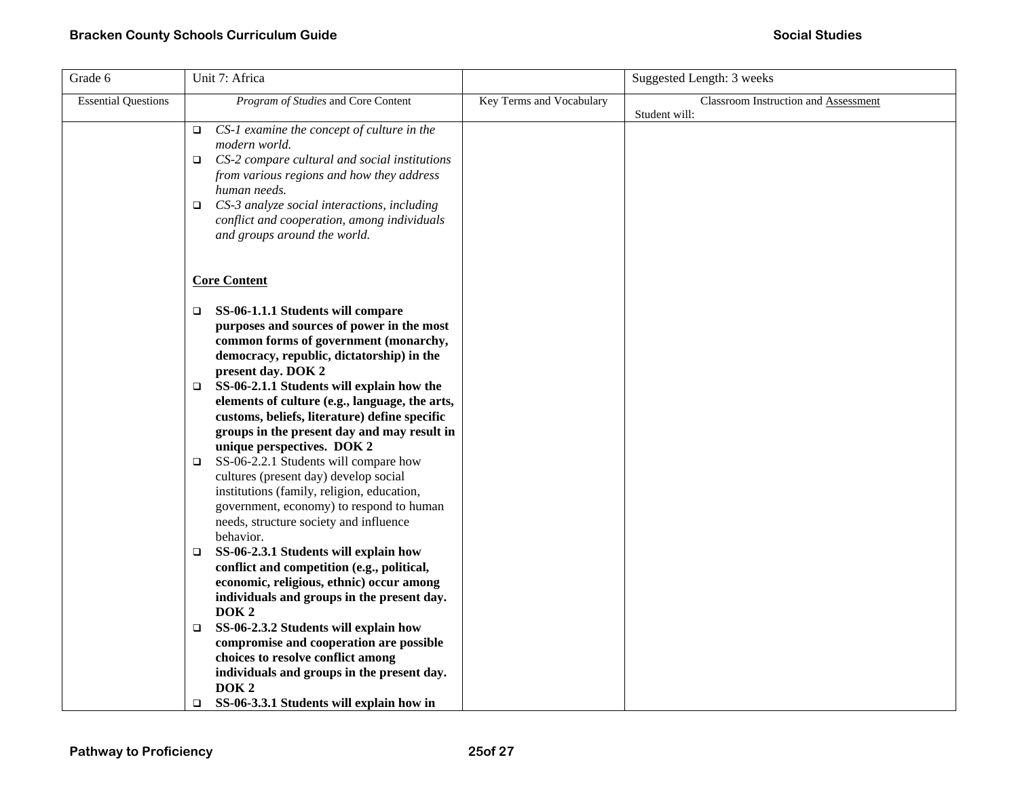| Grade 6                    | Unit 7: Africa                                                                                                                                                                                                                                                                                                                                                                                                                                                                                                                                                                                                                                                                                                                                                               |                          | Suggested Length: 3 weeks            |
|----------------------------|------------------------------------------------------------------------------------------------------------------------------------------------------------------------------------------------------------------------------------------------------------------------------------------------------------------------------------------------------------------------------------------------------------------------------------------------------------------------------------------------------------------------------------------------------------------------------------------------------------------------------------------------------------------------------------------------------------------------------------------------------------------------------|--------------------------|--------------------------------------|
| <b>Essential Questions</b> | Program of Studies and Core Content                                                                                                                                                                                                                                                                                                                                                                                                                                                                                                                                                                                                                                                                                                                                          | Key Terms and Vocabulary | Classroom Instruction and Assessment |
|                            | CS-1 examine the concept of culture in the<br>$\Box$<br>modern world.<br>CS-2 compare cultural and social institutions<br>from various regions and how they address<br>human needs.<br>CS-3 analyze social interactions, including<br>$\Box$<br>conflict and cooperation, among individuals<br>and groups around the world.                                                                                                                                                                                                                                                                                                                                                                                                                                                  |                          | Student will:                        |
|                            | <b>Core Content</b>                                                                                                                                                                                                                                                                                                                                                                                                                                                                                                                                                                                                                                                                                                                                                          |                          |                                      |
|                            | SS-06-1.1.1 Students will compare<br>o.<br>purposes and sources of power in the most<br>common forms of government (monarchy,<br>democracy, republic, dictatorship) in the<br>present day. DOK 2<br>SS-06-2.1.1 Students will explain how the<br>o.<br>elements of culture (e.g., language, the arts,<br>customs, beliefs, literature) define specific<br>groups in the present day and may result in<br>unique perspectives. DOK 2<br>SS-06-2.2.1 Students will compare how<br>$\Box$<br>cultures (present day) develop social<br>institutions (family, religion, education,<br>government, economy) to respond to human<br>needs, structure society and influence<br>behavior.<br>SS-06-2.3.1 Students will explain how<br>o<br>conflict and competition (e.g., political, |                          |                                      |
|                            | economic, religious, ethnic) occur among<br>individuals and groups in the present day.<br>DOK <sub>2</sub>                                                                                                                                                                                                                                                                                                                                                                                                                                                                                                                                                                                                                                                                   |                          |                                      |
|                            | SS-06-2.3.2 Students will explain how<br>$\Box$<br>compromise and cooperation are possible<br>choices to resolve conflict among<br>individuals and groups in the present day.<br>DOK <sub>2</sub>                                                                                                                                                                                                                                                                                                                                                                                                                                                                                                                                                                            |                          |                                      |
|                            | SS-06-3.3.1 Students will explain how in<br>o.                                                                                                                                                                                                                                                                                                                                                                                                                                                                                                                                                                                                                                                                                                                               |                          |                                      |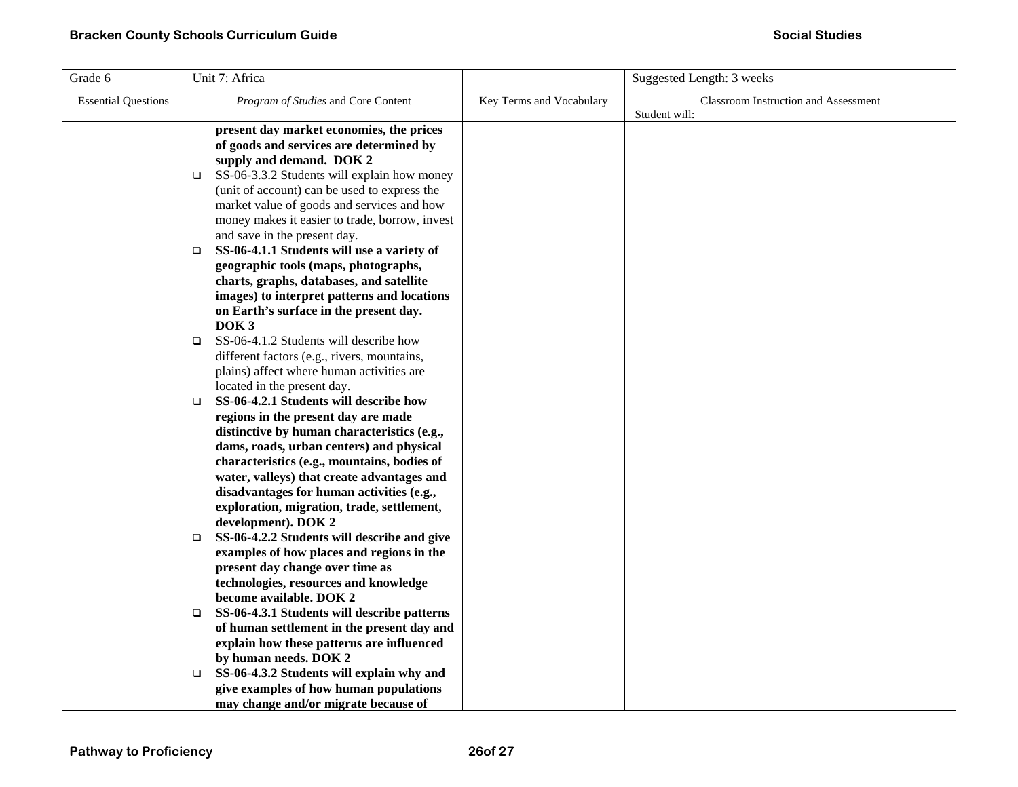| Grade 6                    | Unit 7: Africa                                             |                          | Suggested Length: 3 weeks            |
|----------------------------|------------------------------------------------------------|--------------------------|--------------------------------------|
| <b>Essential Questions</b> | Program of Studies and Core Content                        | Key Terms and Vocabulary | Classroom Instruction and Assessment |
|                            |                                                            |                          | Student will:                        |
|                            | present day market economies, the prices                   |                          |                                      |
|                            | of goods and services are determined by                    |                          |                                      |
|                            | supply and demand. DOK 2                                   |                          |                                      |
|                            | SS-06-3.3.2 Students will explain how money<br>□           |                          |                                      |
|                            | (unit of account) can be used to express the               |                          |                                      |
|                            | market value of goods and services and how                 |                          |                                      |
|                            | money makes it easier to trade, borrow, invest             |                          |                                      |
|                            | and save in the present day.                               |                          |                                      |
|                            | SS-06-4.1.1 Students will use a variety of<br>$\Box$       |                          |                                      |
|                            | geographic tools (maps, photographs,                       |                          |                                      |
|                            | charts, graphs, databases, and satellite                   |                          |                                      |
|                            | images) to interpret patterns and locations                |                          |                                      |
|                            | on Earth's surface in the present day.<br>DOK <sub>3</sub> |                          |                                      |
|                            | SS-06-4.1.2 Students will describe how<br>$\Box$           |                          |                                      |
|                            | different factors (e.g., rivers, mountains,                |                          |                                      |
|                            | plains) affect where human activities are                  |                          |                                      |
|                            | located in the present day.                                |                          |                                      |
|                            | SS-06-4.2.1 Students will describe how<br>$\Box$           |                          |                                      |
|                            | regions in the present day are made                        |                          |                                      |
|                            | distinctive by human characteristics (e.g.,                |                          |                                      |
|                            | dams, roads, urban centers) and physical                   |                          |                                      |
|                            | characteristics (e.g., mountains, bodies of                |                          |                                      |
|                            | water, valleys) that create advantages and                 |                          |                                      |
|                            | disadvantages for human activities (e.g.,                  |                          |                                      |
|                            | exploration, migration, trade, settlement,                 |                          |                                      |
|                            | development). DOK 2                                        |                          |                                      |
|                            | SS-06-4.2.2 Students will describe and give<br>$\Box$      |                          |                                      |
|                            | examples of how places and regions in the                  |                          |                                      |
|                            | present day change over time as                            |                          |                                      |
|                            | technologies, resources and knowledge                      |                          |                                      |
|                            | become available. DOK 2                                    |                          |                                      |
|                            | SS-06-4.3.1 Students will describe patterns<br>$\Box$      |                          |                                      |
|                            | of human settlement in the present day and                 |                          |                                      |
|                            | explain how these patterns are influenced                  |                          |                                      |
|                            | by human needs. DOK 2                                      |                          |                                      |
|                            | SS-06-4.3.2 Students will explain why and<br>$\Box$        |                          |                                      |
|                            | give examples of how human populations                     |                          |                                      |
|                            | may change and/or migrate because of                       |                          |                                      |